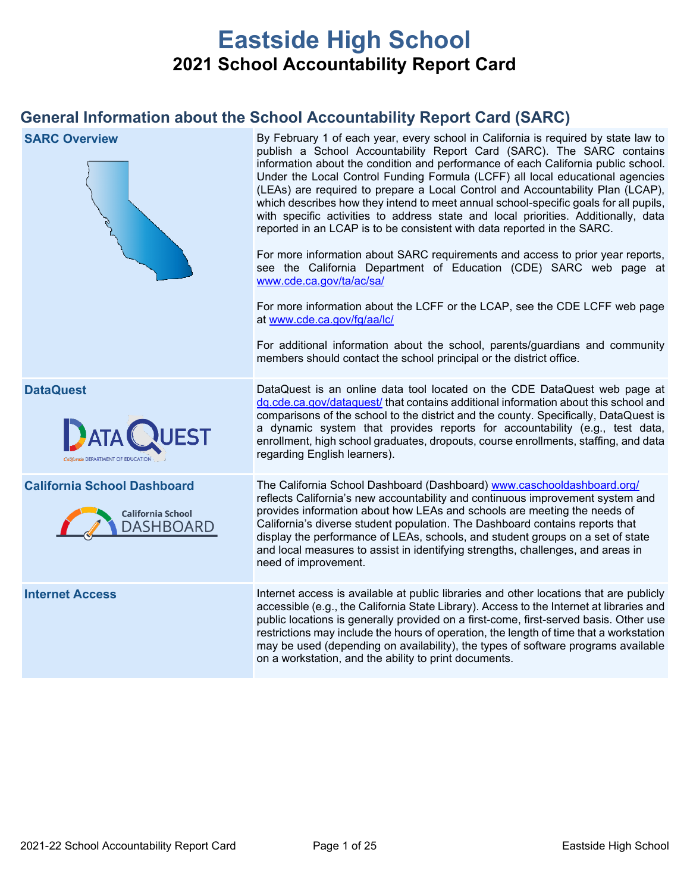# **Eastside High School 2021 School Accountability Report Card**

## **General Information about the School Accountability Report Card (SARC)**

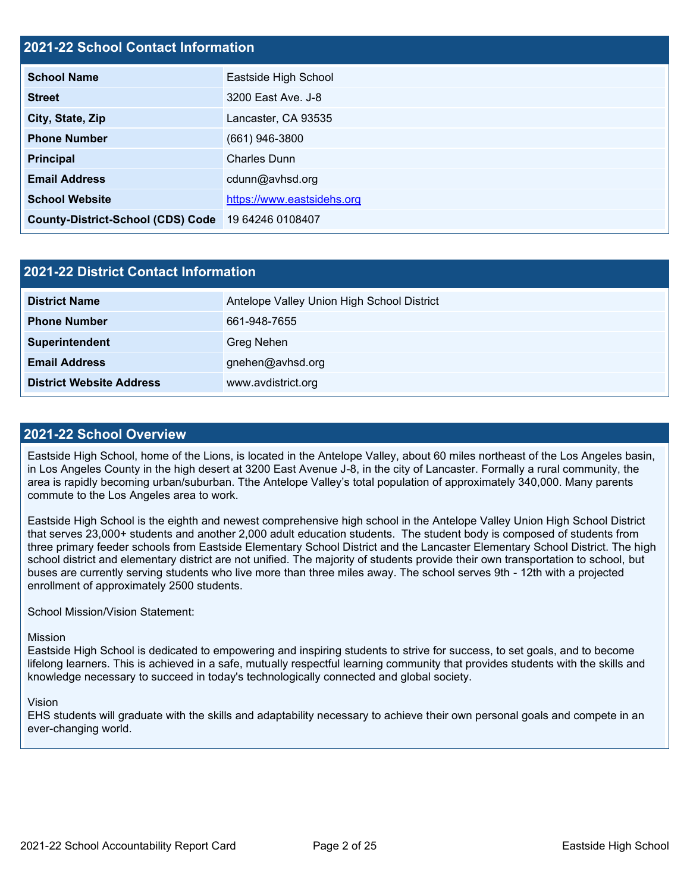## **2021-22 School Contact Information**

| <b>School Name</b>                       | Eastside High School       |  |  |  |
|------------------------------------------|----------------------------|--|--|--|
| <b>Street</b>                            | 3200 East Ave. J-8         |  |  |  |
| City, State, Zip                         | Lancaster, CA 93535        |  |  |  |
| <b>Phone Number</b>                      | $(661)$ 946-3800           |  |  |  |
| <b>Principal</b>                         | <b>Charles Dunn</b>        |  |  |  |
| <b>Email Address</b>                     | cdunn@avhsd.org            |  |  |  |
| <b>School Website</b>                    | https://www.eastsidehs.org |  |  |  |
| <b>County-District-School (CDS) Code</b> | 19 64246 0108407           |  |  |  |

| 2021-22 District Contact Information |                                            |  |  |  |
|--------------------------------------|--------------------------------------------|--|--|--|
| <b>District Name</b>                 | Antelope Valley Union High School District |  |  |  |
| <b>Phone Number</b>                  | 661-948-7655                               |  |  |  |
| Superintendent                       | Greg Nehen                                 |  |  |  |
| <b>Email Address</b>                 | gnehen@avhsd.org                           |  |  |  |
| <b>District Website Address</b>      | www.avdistrict.org                         |  |  |  |

## **2021-22 School Overview**

Eastside High School, home of the Lions, is located in the Antelope Valley, about 60 miles northeast of the Los Angeles basin, in Los Angeles County in the high desert at 3200 East Avenue J-8, in the city of Lancaster. Formally a rural community, the area is rapidly becoming urban/suburban. Tthe Antelope Valley's total population of approximately 340,000. Many parents commute to the Los Angeles area to work.

Eastside High School is the eighth and newest comprehensive high school in the Antelope Valley Union High School District that serves 23,000+ students and another 2,000 adult education students. The student body is composed of students from three primary feeder schools from Eastside Elementary School District and the Lancaster Elementary School District. The high school district and elementary district are not unified. The majority of students provide their own transportation to school, but buses are currently serving students who live more than three miles away. The school serves 9th - 12th with a projected enrollment of approximately 2500 students.

School Mission/Vision Statement:

#### Mission

Eastside High School is dedicated to empowering and inspiring students to strive for success, to set goals, and to become lifelong learners. This is achieved in a safe, mutually respectful learning community that provides students with the skills and knowledge necessary to succeed in today's technologically connected and global society.

#### Vision

EHS students will graduate with the skills and adaptability necessary to achieve their own personal goals and compete in an ever-changing world.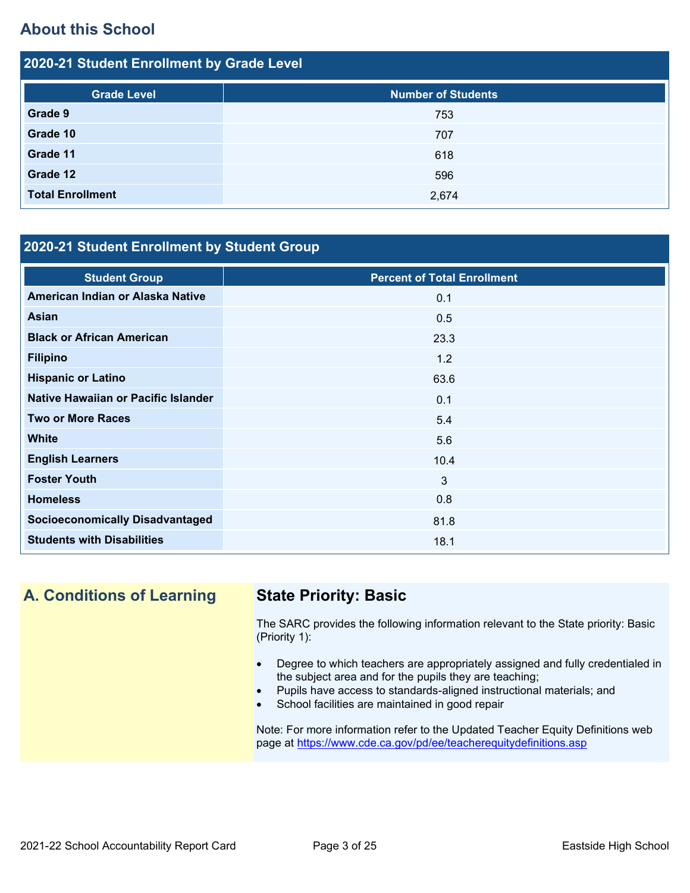## **About this School**

| 2020-21 Student Enrollment by Grade Level |                           |  |  |  |
|-------------------------------------------|---------------------------|--|--|--|
| <b>Grade Level</b>                        | <b>Number of Students</b> |  |  |  |
| Grade 9                                   | 753                       |  |  |  |
| Grade 10                                  | 707                       |  |  |  |
| Grade 11                                  | 618                       |  |  |  |
| Grade 12                                  | 596                       |  |  |  |
| <b>Total Enrollment</b>                   | 2,674                     |  |  |  |

## **2020-21 Student Enrollment by Student Group**

| <b>Student Group</b>                   | <b>Percent of Total Enrollment</b> |
|----------------------------------------|------------------------------------|
| American Indian or Alaska Native       | 0.1                                |
| <b>Asian</b>                           | 0.5                                |
| <b>Black or African American</b>       | 23.3                               |
| <b>Filipino</b>                        | 1.2                                |
| <b>Hispanic or Latino</b>              | 63.6                               |
| Native Hawaiian or Pacific Islander    | 0.1                                |
| <b>Two or More Races</b>               | 5.4                                |
| <b>White</b>                           | 5.6                                |
| <b>English Learners</b>                | 10.4                               |
| <b>Foster Youth</b>                    | 3                                  |
| <b>Homeless</b>                        | 0.8                                |
| <b>Socioeconomically Disadvantaged</b> | 81.8                               |
| <b>Students with Disabilities</b>      | 18.1                               |

# **A. Conditions of Learning State Priority: Basic**

The SARC provides the following information relevant to the State priority: Basic (Priority 1):

- Degree to which teachers are appropriately assigned and fully credentialed in the subject area and for the pupils they are teaching;
- Pupils have access to standards-aligned instructional materials; and
- School facilities are maintained in good repair

Note: For more information refer to the Updated Teacher Equity Definitions web page at<https://www.cde.ca.gov/pd/ee/teacherequitydefinitions.asp>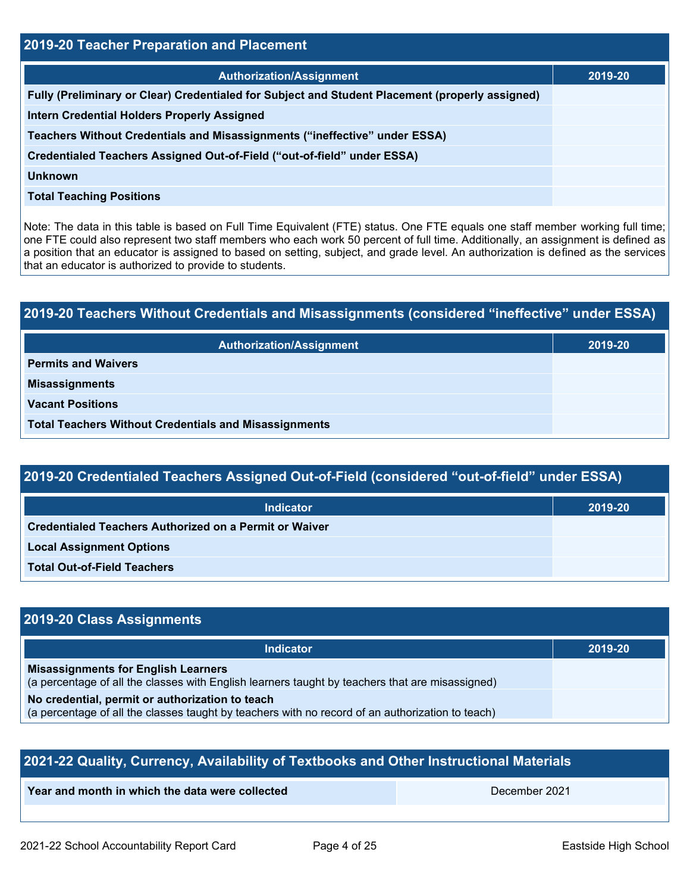| 2019-20 Teacher Preparation and Placement                                                       |         |  |  |  |
|-------------------------------------------------------------------------------------------------|---------|--|--|--|
| <b>Authorization/Assignment</b>                                                                 | 2019-20 |  |  |  |
| Fully (Preliminary or Clear) Credentialed for Subject and Student Placement (properly assigned) |         |  |  |  |
| <b>Intern Credential Holders Properly Assigned</b>                                              |         |  |  |  |
| Teachers Without Credentials and Misassignments ("ineffective" under ESSA)                      |         |  |  |  |
| Credentialed Teachers Assigned Out-of-Field ("out-of-field" under ESSA)                         |         |  |  |  |
| Unknown                                                                                         |         |  |  |  |
| <b>Total Teaching Positions</b>                                                                 |         |  |  |  |
|                                                                                                 |         |  |  |  |

Note: The data in this table is based on Full Time Equivalent (FTE) status. One FTE equals one staff member working full time; one FTE could also represent two staff members who each work 50 percent of full time. Additionally, an assignment is defined as a position that an educator is assigned to based on setting, subject, and grade level. An authorization is defined as the services that an educator is authorized to provide to students.

# **2019-20 Teachers Without Credentials and Misassignments (considered "ineffective" under ESSA) Authorization/Assignment 2019-20 Permits and Waivers Misassignments Vacant Positions Total Teachers Without Credentials and Misassignments**

# **2019-20 Credentialed Teachers Assigned Out-of-Field (considered "out-of-field" under ESSA)**

| <b>Indicator</b>                                              | 2019-20 |
|---------------------------------------------------------------|---------|
| <b>Credentialed Teachers Authorized on a Permit or Waiver</b> |         |
| <b>Local Assignment Options</b>                               |         |
| <b>Total Out-of-Field Teachers</b>                            |         |

## **2019-20 Class Assignments**

| <b>Indicator</b>                                                                                                                              | 2019-20 |
|-----------------------------------------------------------------------------------------------------------------------------------------------|---------|
| <b>Misassignments for English Learners</b><br>(a percentage of all the classes with English learners taught by teachers that are misassigned) |         |
| No credential, permit or authorization to teach                                                                                               |         |
| (a percentage of all the classes taught by teachers with no record of an authorization to teach)                                              |         |

| 2021-22 Quality, Currency, Availability of Textbooks and Other Instructional Materials |               |  |  |  |
|----------------------------------------------------------------------------------------|---------------|--|--|--|
| Year and month in which the data were collected                                        | December 2021 |  |  |  |
|                                                                                        |               |  |  |  |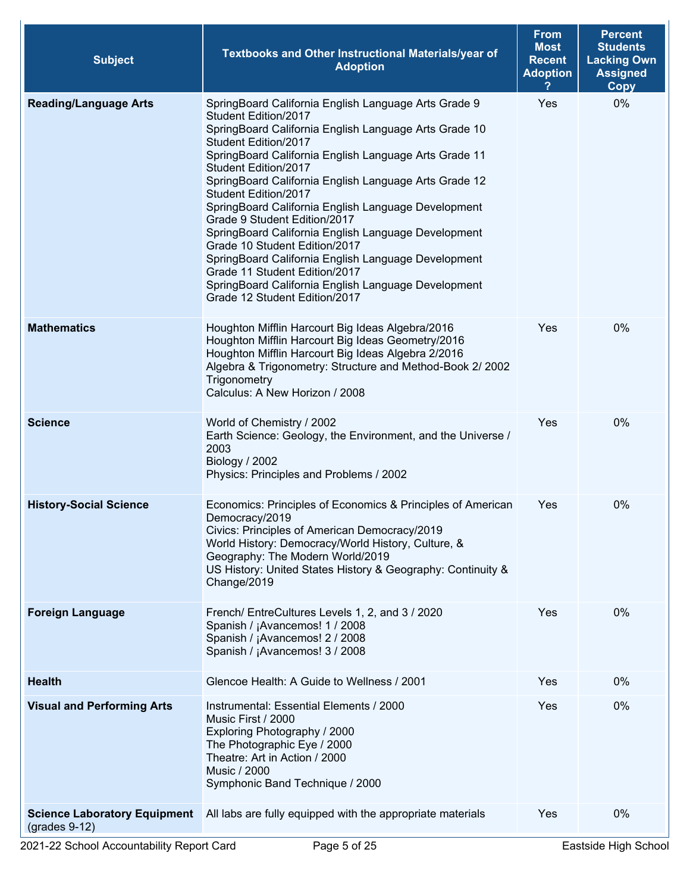| <b>Subject</b>                                         | Textbooks and Other Instructional Materials/year of<br><b>Adoption</b>                                                                                                                                                                                                                                                                                                                                                                                                                                                                                                                                                                                                                         | <b>From</b><br><b>Most</b><br><b>Recent</b><br><b>Adoption</b> | <b>Percent</b><br><b>Students</b><br><b>Lacking Own</b><br><b>Assigned</b><br><b>Copy</b> |
|--------------------------------------------------------|------------------------------------------------------------------------------------------------------------------------------------------------------------------------------------------------------------------------------------------------------------------------------------------------------------------------------------------------------------------------------------------------------------------------------------------------------------------------------------------------------------------------------------------------------------------------------------------------------------------------------------------------------------------------------------------------|----------------------------------------------------------------|-------------------------------------------------------------------------------------------|
| <b>Reading/Language Arts</b>                           | SpringBoard California English Language Arts Grade 9<br>Student Edition/2017<br>SpringBoard California English Language Arts Grade 10<br>Student Edition/2017<br>SpringBoard California English Language Arts Grade 11<br>Student Edition/2017<br>SpringBoard California English Language Arts Grade 12<br>Student Edition/2017<br>SpringBoard California English Language Development<br>Grade 9 Student Edition/2017<br>SpringBoard California English Language Development<br>Grade 10 Student Edition/2017<br>SpringBoard California English Language Development<br>Grade 11 Student Edition/2017<br>SpringBoard California English Language Development<br>Grade 12 Student Edition/2017 | Yes                                                            | 0%                                                                                        |
| <b>Mathematics</b>                                     | Houghton Mifflin Harcourt Big Ideas Algebra/2016<br>Houghton Mifflin Harcourt Big Ideas Geometry/2016<br>Houghton Mifflin Harcourt Big Ideas Algebra 2/2016<br>Algebra & Trigonometry: Structure and Method-Book 2/ 2002<br>Trigonometry<br>Calculus: A New Horizon / 2008                                                                                                                                                                                                                                                                                                                                                                                                                     | Yes                                                            | 0%                                                                                        |
| <b>Science</b>                                         | World of Chemistry / 2002<br>Earth Science: Geology, the Environment, and the Universe /<br>2003<br>Biology / 2002<br>Physics: Principles and Problems / 2002                                                                                                                                                                                                                                                                                                                                                                                                                                                                                                                                  | Yes                                                            | 0%                                                                                        |
| <b>History-Social Science</b>                          | Economics: Principles of Economics & Principles of American<br>Democracy/2019<br>Civics: Principles of American Democracy/2019<br>World History: Democracy/World History, Culture, &<br>Geography: The Modern World/2019<br>US History: United States History & Geography: Continuity &<br>Change/2019                                                                                                                                                                                                                                                                                                                                                                                         | Yes                                                            | 0%                                                                                        |
| <b>Foreign Language</b>                                | French/ EntreCultures Levels 1, 2, and 3 / 2020<br>Spanish / ¡Avancemos! 1 / 2008<br>Spanish / ¡Avancemos! 2 / 2008<br>Spanish / ¡Avancemos! 3 / 2008                                                                                                                                                                                                                                                                                                                                                                                                                                                                                                                                          | Yes                                                            | 0%                                                                                        |
| <b>Health</b>                                          | Glencoe Health: A Guide to Wellness / 2001                                                                                                                                                                                                                                                                                                                                                                                                                                                                                                                                                                                                                                                     | Yes                                                            | $0\%$                                                                                     |
| <b>Visual and Performing Arts</b>                      | Instrumental: Essential Elements / 2000<br>Music First / 2000<br>Exploring Photography / 2000<br>The Photographic Eye / 2000<br>Theatre: Art in Action / 2000<br><b>Music / 2000</b><br>Symphonic Band Technique / 2000                                                                                                                                                                                                                                                                                                                                                                                                                                                                        | Yes                                                            | 0%                                                                                        |
| <b>Science Laboratory Equipment</b><br>$(grades 9-12)$ | All labs are fully equipped with the appropriate materials                                                                                                                                                                                                                                                                                                                                                                                                                                                                                                                                                                                                                                     | Yes                                                            | 0%                                                                                        |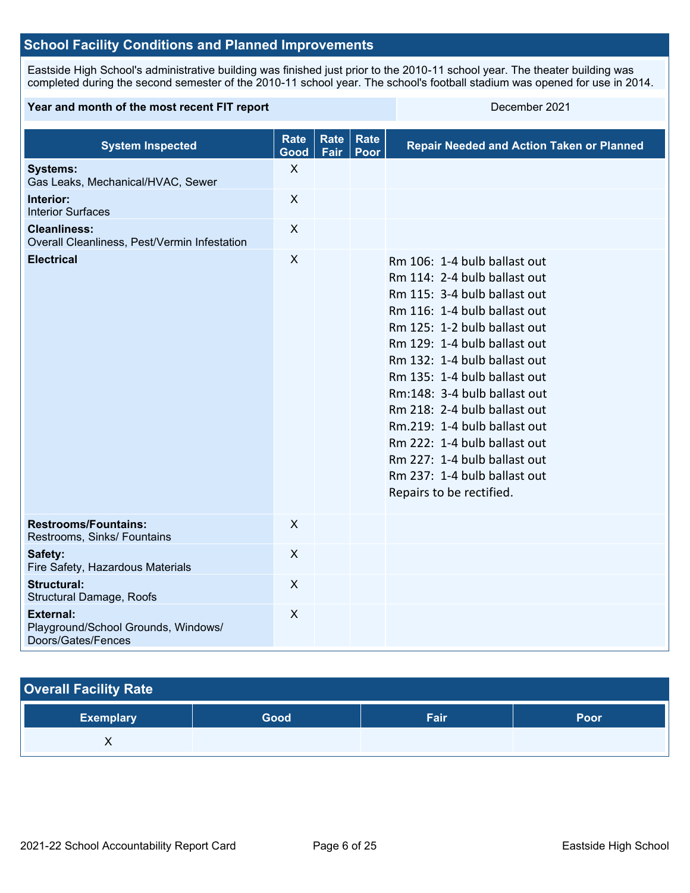## **School Facility Conditions and Planned Improvements**

Eastside High School's administrative building was finished just prior to the 2010-11 school year. The theater building was completed during the second semester of the 2010-11 school year. The school's football stadium was opened for use in 2014.

#### **Year and month of the most recent FIT report** December 2021

| <b>System Inspected</b>                                                       | <b>Rate</b><br>Good | <b>Rate</b><br>Fair | Rate<br>Poor | <b>Repair Needed and Action Taken or Planned</b>                                                                                                                                                                                                                                                                                                                                                                                                                                         |
|-------------------------------------------------------------------------------|---------------------|---------------------|--------------|------------------------------------------------------------------------------------------------------------------------------------------------------------------------------------------------------------------------------------------------------------------------------------------------------------------------------------------------------------------------------------------------------------------------------------------------------------------------------------------|
| <b>Systems:</b><br>Gas Leaks, Mechanical/HVAC, Sewer                          | $\mathsf{X}$        |                     |              |                                                                                                                                                                                                                                                                                                                                                                                                                                                                                          |
| Interior:<br><b>Interior Surfaces</b>                                         | $\pmb{\times}$      |                     |              |                                                                                                                                                                                                                                                                                                                                                                                                                                                                                          |
| <b>Cleanliness:</b><br>Overall Cleanliness, Pest/Vermin Infestation           | X                   |                     |              |                                                                                                                                                                                                                                                                                                                                                                                                                                                                                          |
| <b>Electrical</b>                                                             | X                   |                     |              | Rm 106: 1-4 bulb ballast out<br>Rm 114: 2-4 bulb ballast out<br>Rm 115: 3-4 bulb ballast out<br>Rm 116: 1-4 bulb ballast out<br>Rm 125: 1-2 bulb ballast out<br>Rm 129: 1-4 bulb ballast out<br>Rm 132: 1-4 bulb ballast out<br>Rm 135: 1-4 bulb ballast out<br>Rm:148: 3-4 bulb ballast out<br>Rm 218: 2-4 bulb ballast out<br>Rm.219: 1-4 bulb ballast out<br>Rm 222: 1-4 bulb ballast out<br>Rm 227: 1-4 bulb ballast out<br>Rm 237: 1-4 bulb ballast out<br>Repairs to be rectified. |
| <b>Restrooms/Fountains:</b><br>Restrooms, Sinks/ Fountains                    | X                   |                     |              |                                                                                                                                                                                                                                                                                                                                                                                                                                                                                          |
| Safety:<br>Fire Safety, Hazardous Materials                                   | X                   |                     |              |                                                                                                                                                                                                                                                                                                                                                                                                                                                                                          |
| <b>Structural:</b><br>Structural Damage, Roofs                                | $\mathsf{X}$        |                     |              |                                                                                                                                                                                                                                                                                                                                                                                                                                                                                          |
| <b>External:</b><br>Playground/School Grounds, Windows/<br>Doors/Gates/Fences | X                   |                     |              |                                                                                                                                                                                                                                                                                                                                                                                                                                                                                          |

## **Overall Facility Rate**

| <b>Exemplary</b> | Good | Fair | Poor |
|------------------|------|------|------|
| 71               |      |      |      |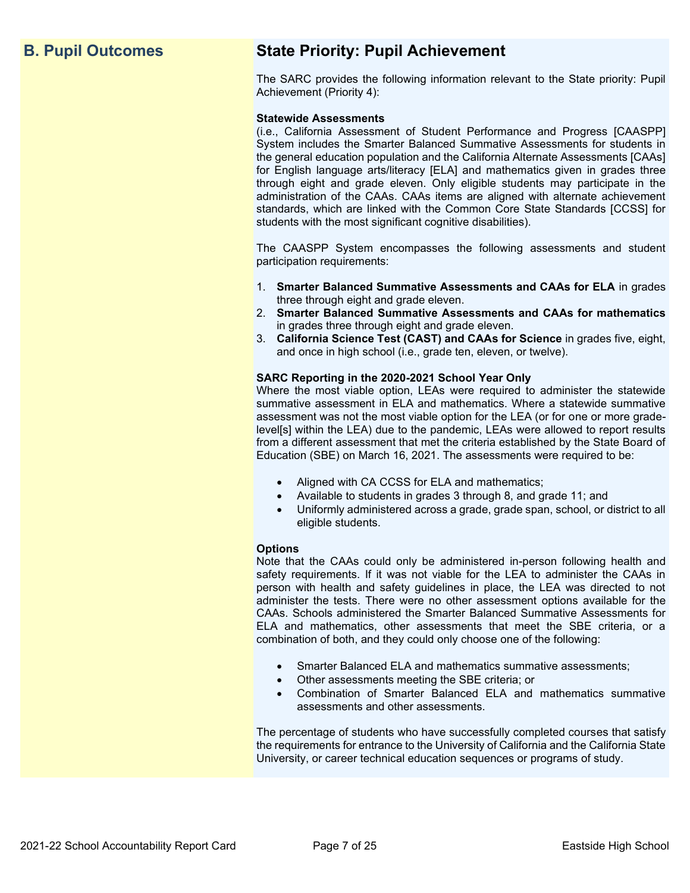## **B. Pupil Outcomes State Priority: Pupil Achievement**

The SARC provides the following information relevant to the State priority: Pupil Achievement (Priority 4):

#### **Statewide Assessments**

(i.e., California Assessment of Student Performance and Progress [CAASPP] System includes the Smarter Balanced Summative Assessments for students in the general education population and the California Alternate Assessments [CAAs] for English language arts/literacy [ELA] and mathematics given in grades three through eight and grade eleven. Only eligible students may participate in the administration of the CAAs. CAAs items are aligned with alternate achievement standards, which are linked with the Common Core State Standards [CCSS] for students with the most significant cognitive disabilities).

The CAASPP System encompasses the following assessments and student participation requirements:

- 1. **Smarter Balanced Summative Assessments and CAAs for ELA** in grades three through eight and grade eleven.
- 2. **Smarter Balanced Summative Assessments and CAAs for mathematics** in grades three through eight and grade eleven.
- 3. **California Science Test (CAST) and CAAs for Science** in grades five, eight, and once in high school (i.e., grade ten, eleven, or twelve).

#### **SARC Reporting in the 2020-2021 School Year Only**

Where the most viable option, LEAs were required to administer the statewide summative assessment in ELA and mathematics. Where a statewide summative assessment was not the most viable option for the LEA (or for one or more gradelevel[s] within the LEA) due to the pandemic, LEAs were allowed to report results from a different assessment that met the criteria established by the State Board of Education (SBE) on March 16, 2021. The assessments were required to be:

- Aligned with CA CCSS for ELA and mathematics;
- Available to students in grades 3 through 8, and grade 11; and
- Uniformly administered across a grade, grade span, school, or district to all eligible students.

#### **Options**

Note that the CAAs could only be administered in-person following health and safety requirements. If it was not viable for the LEA to administer the CAAs in person with health and safety guidelines in place, the LEA was directed to not administer the tests. There were no other assessment options available for the CAAs. Schools administered the Smarter Balanced Summative Assessments for ELA and mathematics, other assessments that meet the SBE criteria, or a combination of both, and they could only choose one of the following:

- Smarter Balanced ELA and mathematics summative assessments;
- Other assessments meeting the SBE criteria; or
- Combination of Smarter Balanced ELA and mathematics summative assessments and other assessments.

The percentage of students who have successfully completed courses that satisfy the requirements for entrance to the University of California and the California State University, or career technical education sequences or programs of study.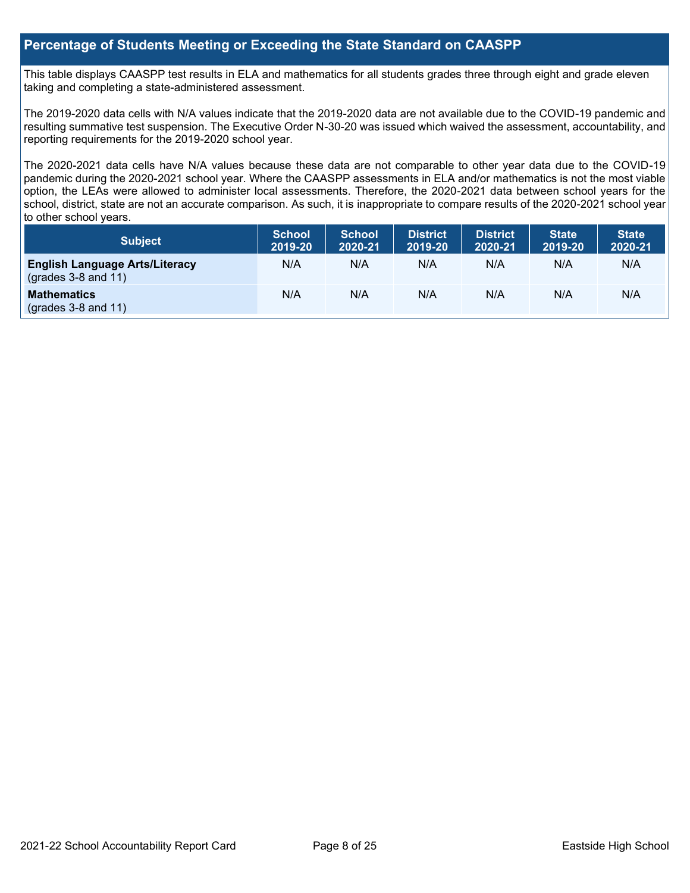## **Percentage of Students Meeting or Exceeding the State Standard on CAASPP**

This table displays CAASPP test results in ELA and mathematics for all students grades three through eight and grade eleven taking and completing a state-administered assessment.

The 2019-2020 data cells with N/A values indicate that the 2019-2020 data are not available due to the COVID-19 pandemic and resulting summative test suspension. The Executive Order N-30-20 was issued which waived the assessment, accountability, and reporting requirements for the 2019-2020 school year.

The 2020-2021 data cells have N/A values because these data are not comparable to other year data due to the COVID-19 pandemic during the 2020-2021 school year. Where the CAASPP assessments in ELA and/or mathematics is not the most viable option, the LEAs were allowed to administer local assessments. Therefore, the 2020-2021 data between school years for the school, district, state are not an accurate comparison. As such, it is inappropriate to compare results of the 2020-2021 school year to other school years.

| Subject                                                              | <b>School</b><br>2019-20 | <b>School</b><br>2020-21 | <b>District</b><br>2019-20 | <b>District</b><br>2020-21 | <b>State</b><br>2019-20 | <b>State</b><br>2020-21 |
|----------------------------------------------------------------------|--------------------------|--------------------------|----------------------------|----------------------------|-------------------------|-------------------------|
| <b>English Language Arts/Literacy</b><br>$\left($ grades 3-8 and 11) | N/A                      | N/A                      | N/A                        | N/A                        | N/A                     | N/A                     |
| <b>Mathematics</b><br>$(grades 3-8 and 11)$                          | N/A                      | N/A                      | N/A                        | N/A                        | N/A                     | N/A                     |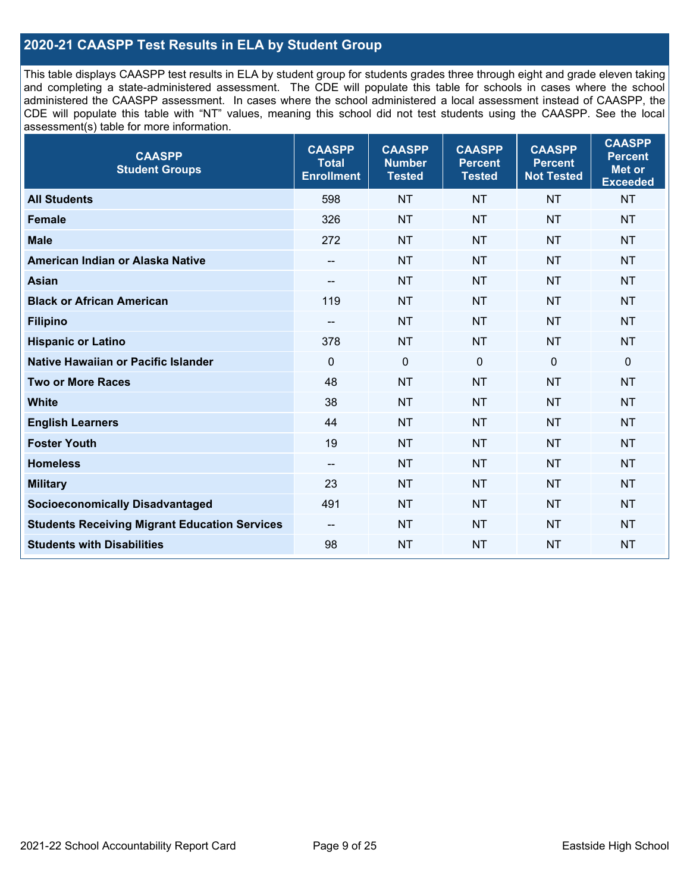## **2020-21 CAASPP Test Results in ELA by Student Group**

This table displays CAASPP test results in ELA by student group for students grades three through eight and grade eleven taking and completing a state-administered assessment. The CDE will populate this table for schools in cases where the school administered the CAASPP assessment. In cases where the school administered a local assessment instead of CAASPP, the CDE will populate this table with "NT" values, meaning this school did not test students using the CAASPP. See the local assessment(s) table for more information.

| <b>CAASPP</b><br><b>Student Groups</b>               | <b>CAASPP</b><br><b>Total</b><br><b>Enrollment</b> | <b>CAASPP</b><br><b>Number</b><br><b>Tested</b> | <b>CAASPP</b><br><b>Percent</b><br><b>Tested</b> | <b>CAASPP</b><br><b>Percent</b><br><b>Not Tested</b> | <b>CAASPP</b><br><b>Percent</b><br><b>Met or</b><br><b>Exceeded</b> |
|------------------------------------------------------|----------------------------------------------------|-------------------------------------------------|--------------------------------------------------|------------------------------------------------------|---------------------------------------------------------------------|
| <b>All Students</b>                                  | 598                                                | <b>NT</b>                                       | <b>NT</b>                                        | <b>NT</b>                                            | <b>NT</b>                                                           |
| <b>Female</b>                                        | 326                                                | <b>NT</b>                                       | <b>NT</b>                                        | <b>NT</b>                                            | <b>NT</b>                                                           |
| <b>Male</b>                                          | 272                                                | <b>NT</b>                                       | <b>NT</b>                                        | <b>NT</b>                                            | <b>NT</b>                                                           |
| American Indian or Alaska Native                     | $\overline{\phantom{a}}$                           | <b>NT</b>                                       | <b>NT</b>                                        | <b>NT</b>                                            | <b>NT</b>                                                           |
| <b>Asian</b>                                         | $-$                                                | <b>NT</b>                                       | <b>NT</b>                                        | <b>NT</b>                                            | <b>NT</b>                                                           |
| <b>Black or African American</b>                     | 119                                                | <b>NT</b>                                       | <b>NT</b>                                        | <b>NT</b>                                            | <b>NT</b>                                                           |
| <b>Filipino</b>                                      | $\overline{\phantom{a}}$                           | <b>NT</b>                                       | <b>NT</b>                                        | <b>NT</b>                                            | <b>NT</b>                                                           |
| <b>Hispanic or Latino</b>                            | 378                                                | <b>NT</b>                                       | <b>NT</b>                                        | <b>NT</b>                                            | <b>NT</b>                                                           |
| Native Hawaiian or Pacific Islander                  | $\mathbf 0$                                        | $\mathbf 0$                                     | $\mathbf 0$                                      | $\overline{0}$                                       | 0                                                                   |
| <b>Two or More Races</b>                             | 48                                                 | <b>NT</b>                                       | <b>NT</b>                                        | <b>NT</b>                                            | <b>NT</b>                                                           |
| <b>White</b>                                         | 38                                                 | <b>NT</b>                                       | <b>NT</b>                                        | <b>NT</b>                                            | <b>NT</b>                                                           |
| <b>English Learners</b>                              | 44                                                 | <b>NT</b>                                       | <b>NT</b>                                        | <b>NT</b>                                            | <b>NT</b>                                                           |
| <b>Foster Youth</b>                                  | 19                                                 | <b>NT</b>                                       | <b>NT</b>                                        | <b>NT</b>                                            | <b>NT</b>                                                           |
| <b>Homeless</b>                                      | $\overline{\phantom{a}}$                           | <b>NT</b>                                       | <b>NT</b>                                        | <b>NT</b>                                            | <b>NT</b>                                                           |
| <b>Military</b>                                      | 23                                                 | <b>NT</b>                                       | <b>NT</b>                                        | <b>NT</b>                                            | <b>NT</b>                                                           |
| <b>Socioeconomically Disadvantaged</b>               | 491                                                | <b>NT</b>                                       | <b>NT</b>                                        | <b>NT</b>                                            | <b>NT</b>                                                           |
| <b>Students Receiving Migrant Education Services</b> | $\overline{\phantom{a}}$                           | <b>NT</b>                                       | <b>NT</b>                                        | <b>NT</b>                                            | NT                                                                  |
| <b>Students with Disabilities</b>                    | 98                                                 | <b>NT</b>                                       | <b>NT</b>                                        | <b>NT</b>                                            | <b>NT</b>                                                           |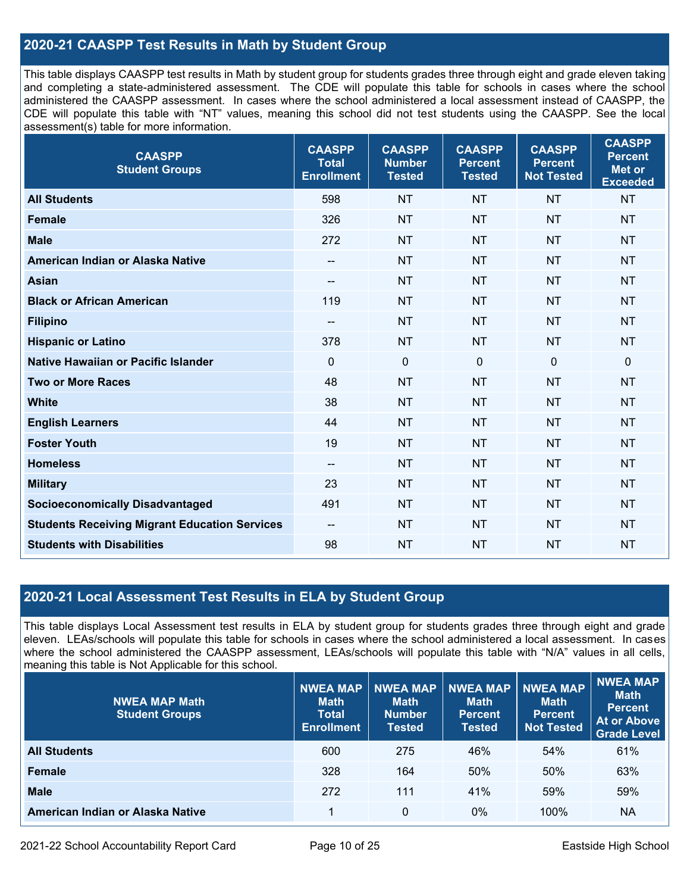## **2020-21 CAASPP Test Results in Math by Student Group**

This table displays CAASPP test results in Math by student group for students grades three through eight and grade eleven taking and completing a state-administered assessment. The CDE will populate this table for schools in cases where the school administered the CAASPP assessment. In cases where the school administered a local assessment instead of CAASPP, the CDE will populate this table with "NT" values, meaning this school did not test students using the CAASPP. See the local assessment(s) table for more information.

| <b>CAASPP</b><br><b>Student Groups</b>               | <b>CAASPP</b><br><b>Total</b><br><b>Enrollment</b> | <b>CAASPP</b><br><b>Number</b><br><b>Tested</b> | <b>CAASPP</b><br><b>Percent</b><br><b>Tested</b> | <b>CAASPP</b><br><b>Percent</b><br><b>Not Tested</b> | <b>CAASPP</b><br><b>Percent</b><br><b>Met or</b><br><b>Exceeded</b> |
|------------------------------------------------------|----------------------------------------------------|-------------------------------------------------|--------------------------------------------------|------------------------------------------------------|---------------------------------------------------------------------|
| <b>All Students</b>                                  | 598                                                | <b>NT</b>                                       | <b>NT</b>                                        | <b>NT</b>                                            | <b>NT</b>                                                           |
| <b>Female</b>                                        | 326                                                | <b>NT</b>                                       | <b>NT</b>                                        | <b>NT</b>                                            | <b>NT</b>                                                           |
| <b>Male</b>                                          | 272                                                | <b>NT</b>                                       | <b>NT</b>                                        | <b>NT</b>                                            | <b>NT</b>                                                           |
| American Indian or Alaska Native                     | --                                                 | <b>NT</b>                                       | <b>NT</b>                                        | <b>NT</b>                                            | <b>NT</b>                                                           |
| <b>Asian</b>                                         | $\overline{\phantom{a}}$                           | <b>NT</b>                                       | <b>NT</b>                                        | <b>NT</b>                                            | <b>NT</b>                                                           |
| <b>Black or African American</b>                     | 119                                                | <b>NT</b>                                       | <b>NT</b>                                        | <b>NT</b>                                            | <b>NT</b>                                                           |
| <b>Filipino</b>                                      | $\overline{\phantom{a}}$                           | <b>NT</b>                                       | <b>NT</b>                                        | <b>NT</b>                                            | <b>NT</b>                                                           |
| <b>Hispanic or Latino</b>                            | 378                                                | <b>NT</b>                                       | <b>NT</b>                                        | <b>NT</b>                                            | <b>NT</b>                                                           |
| <b>Native Hawaiian or Pacific Islander</b>           | $\mathbf 0$                                        | $\boldsymbol{0}$                                | $\mathbf 0$                                      | $\mathbf 0$                                          | $\pmb{0}$                                                           |
| <b>Two or More Races</b>                             | 48                                                 | <b>NT</b>                                       | <b>NT</b>                                        | <b>NT</b>                                            | <b>NT</b>                                                           |
| <b>White</b>                                         | 38                                                 | <b>NT</b>                                       | <b>NT</b>                                        | <b>NT</b>                                            | <b>NT</b>                                                           |
| <b>English Learners</b>                              | 44                                                 | <b>NT</b>                                       | <b>NT</b>                                        | <b>NT</b>                                            | <b>NT</b>                                                           |
| <b>Foster Youth</b>                                  | 19                                                 | <b>NT</b>                                       | <b>NT</b>                                        | <b>NT</b>                                            | <b>NT</b>                                                           |
| <b>Homeless</b>                                      | $\hspace{0.05cm}$ – $\hspace{0.05cm}$              | <b>NT</b>                                       | <b>NT</b>                                        | <b>NT</b>                                            | <b>NT</b>                                                           |
| <b>Military</b>                                      | 23                                                 | <b>NT</b>                                       | <b>NT</b>                                        | <b>NT</b>                                            | <b>NT</b>                                                           |
| <b>Socioeconomically Disadvantaged</b>               | 491                                                | <b>NT</b>                                       | <b>NT</b>                                        | <b>NT</b>                                            | <b>NT</b>                                                           |
| <b>Students Receiving Migrant Education Services</b> | $\overline{\phantom{a}}$                           | <b>NT</b>                                       | <b>NT</b>                                        | <b>NT</b>                                            | <b>NT</b>                                                           |
| <b>Students with Disabilities</b>                    | 98                                                 | <b>NT</b>                                       | <b>NT</b>                                        | <b>NT</b>                                            | <b>NT</b>                                                           |

## **2020-21 Local Assessment Test Results in ELA by Student Group**

This table displays Local Assessment test results in ELA by student group for students grades three through eight and grade eleven. LEAs/schools will populate this table for schools in cases where the school administered a local assessment. In cases where the school administered the CAASPP assessment, LEAs/schools will populate this table with "N/A" values in all cells, meaning this table is Not Applicable for this school.

| <b>NWEA MAP Math</b><br><b>Student Groups</b> | <b>NWEA MAP</b><br><b>Math</b><br><b>Total</b><br><b>Enrollment</b> | <b>NWEA MAP</b><br><b>Math</b><br><b>Number</b><br><b>Tested</b> | <b>NWEA MAP</b><br><b>Math</b><br><b>Percent</b><br><b>Tested</b> | <b>NWEA MAP</b><br><b>Math</b><br><b>Percent</b><br><b>Not Tested</b> | NWEA MAP<br><b>Math</b><br><b>Percent</b><br><b>At or Above</b><br><b>Grade Level</b> |
|-----------------------------------------------|---------------------------------------------------------------------|------------------------------------------------------------------|-------------------------------------------------------------------|-----------------------------------------------------------------------|---------------------------------------------------------------------------------------|
| <b>All Students</b>                           | 600                                                                 | 275                                                              | 46%                                                               | 54%                                                                   | 61%                                                                                   |
| <b>Female</b>                                 | 328                                                                 | 164                                                              | 50%                                                               | 50%                                                                   | 63%                                                                                   |
| <b>Male</b>                                   | 272                                                                 | 111                                                              | 41%                                                               | 59%                                                                   | 59%                                                                                   |
| American Indian or Alaska Native              |                                                                     | 0                                                                | $0\%$                                                             | 100%                                                                  | NA                                                                                    |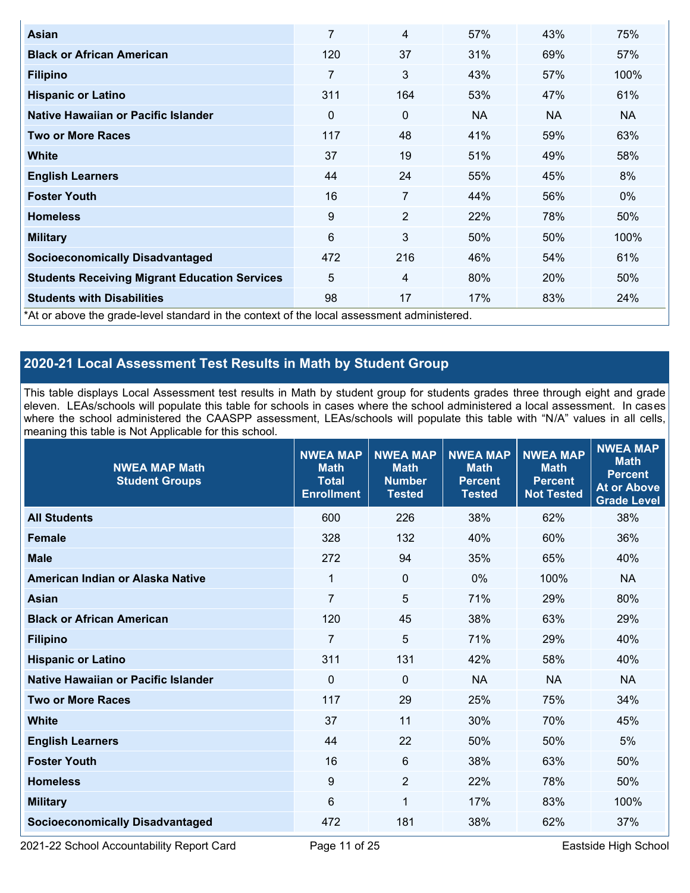| Asian                                                                                      | 7              | 4              | 57% | 43%       | 75%   |
|--------------------------------------------------------------------------------------------|----------------|----------------|-----|-----------|-------|
| <b>Black or African American</b>                                                           | 120            | 37             | 31% | 69%       | 57%   |
| <b>Filipino</b>                                                                            | $\overline{7}$ | 3              | 43% | 57%       | 100%  |
| <b>Hispanic or Latino</b>                                                                  | 311            | 164            | 53% | 47%       | 61%   |
| Native Hawaiian or Pacific Islander                                                        | 0              | 0              | NA. | <b>NA</b> | NA.   |
| <b>Two or More Races</b>                                                                   | 117            | 48             | 41% | 59%       | 63%   |
| <b>White</b>                                                                               | 37             | 19             | 51% | 49%       | 58%   |
| <b>English Learners</b>                                                                    | 44             | 24             | 55% | 45%       | 8%    |
| <b>Foster Youth</b>                                                                        | 16             | 7              | 44% | 56%       | $0\%$ |
| <b>Homeless</b>                                                                            | 9              | $\overline{2}$ | 22% | 78%       | 50%   |
| <b>Military</b>                                                                            | 6              | 3              | 50% | 50%       | 100%  |
| <b>Socioeconomically Disadvantaged</b>                                                     | 472            | 216            | 46% | 54%       | 61%   |
| <b>Students Receiving Migrant Education Services</b>                                       | 5              | $\overline{4}$ | 80% | 20%       | 50%   |
| <b>Students with Disabilities</b>                                                          | 98             | 17             | 17% | 83%       | 24%   |
| *At or above the grade-level standard in the context of the local assessment administered. |                |                |     |           |       |

## **2020-21 Local Assessment Test Results in Math by Student Group**

This table displays Local Assessment test results in Math by student group for students grades three through eight and grade eleven. LEAs/schools will populate this table for schools in cases where the school administered a local assessment. In cases where the school administered the CAASPP assessment, LEAs/schools will populate this table with "N/A" values in all cells, meaning this table is Not Applicable for this school.

| <b>NWEA MAP Math</b><br><b>Student Groups</b> | <b>NWEA MAP</b><br><b>Math</b><br><b>Total</b><br><b>Enrollment</b> | <b>NWEA MAP</b><br><b>Math</b><br><b>Number</b><br><b>Tested</b> | <b>NWEA MAP</b><br><b>Math</b><br><b>Percent</b><br><b>Tested</b> | <b>NWEA MAP</b><br><b>Math</b><br><b>Percent</b><br><b>Not Tested</b> | <b>NWEA MAP</b><br><b>Math</b><br><b>Percent</b><br><b>At or Above</b><br><b>Grade Level</b> |
|-----------------------------------------------|---------------------------------------------------------------------|------------------------------------------------------------------|-------------------------------------------------------------------|-----------------------------------------------------------------------|----------------------------------------------------------------------------------------------|
| <b>All Students</b>                           | 600                                                                 | 226                                                              | 38%                                                               | 62%                                                                   | 38%                                                                                          |
| <b>Female</b>                                 | 328                                                                 | 132                                                              | 40%                                                               | 60%                                                                   | 36%                                                                                          |
| <b>Male</b>                                   | 272                                                                 | 94                                                               | 35%                                                               | 65%                                                                   | 40%                                                                                          |
| American Indian or Alaska Native              | $\mathbf{1}$                                                        | $\mathbf 0$                                                      | 0%                                                                | 100%                                                                  | <b>NA</b>                                                                                    |
| <b>Asian</b>                                  | $\overline{7}$                                                      | 5                                                                | 71%                                                               | 29%                                                                   | 80%                                                                                          |
| <b>Black or African American</b>              | 120                                                                 | 45                                                               | 38%                                                               | 63%                                                                   | 29%                                                                                          |
| <b>Filipino</b>                               | $\overline{7}$                                                      | 5                                                                | 71%                                                               | 29%                                                                   | 40%                                                                                          |
| <b>Hispanic or Latino</b>                     | 311                                                                 | 131                                                              | 42%                                                               | 58%                                                                   | 40%                                                                                          |
| Native Hawaiian or Pacific Islander           | $\Omega$                                                            | $\mathbf 0$                                                      | <b>NA</b>                                                         | <b>NA</b>                                                             | <b>NA</b>                                                                                    |
| <b>Two or More Races</b>                      | 117                                                                 | 29                                                               | 25%                                                               | 75%                                                                   | 34%                                                                                          |
| <b>White</b>                                  | 37                                                                  | 11                                                               | 30%                                                               | 70%                                                                   | 45%                                                                                          |
| <b>English Learners</b>                       | 44                                                                  | 22                                                               | 50%                                                               | 50%                                                                   | 5%                                                                                           |
| <b>Foster Youth</b>                           | 16                                                                  | 6                                                                | 38%                                                               | 63%                                                                   | 50%                                                                                          |
| <b>Homeless</b>                               | 9                                                                   | 2                                                                | 22%                                                               | 78%                                                                   | 50%                                                                                          |
| <b>Military</b>                               | 6                                                                   | 1                                                                | 17%                                                               | 83%                                                                   | 100%                                                                                         |
| <b>Socioeconomically Disadvantaged</b>        | 472                                                                 | 181                                                              | 38%                                                               | 62%                                                                   | 37%                                                                                          |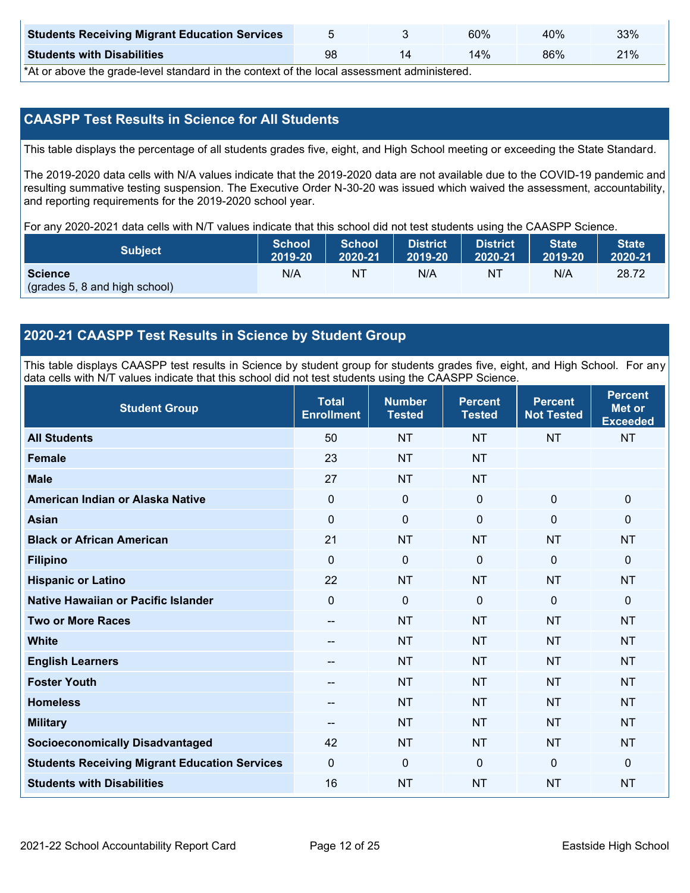| <b>Students Receiving Migrant Education Services</b> |    | 60% | 40% | 33% |
|------------------------------------------------------|----|-----|-----|-----|
| <b>Students with Disabilities</b>                    | 98 | 14% | 86% | 21% |

\*At or above the grade-level standard in the context of the local assessment administered.

## **CAASPP Test Results in Science for All Students**

This table displays the percentage of all students grades five, eight, and High School meeting or exceeding the State Standard.

The 2019-2020 data cells with N/A values indicate that the 2019-2020 data are not available due to the COVID-19 pandemic and resulting summative testing suspension. The Executive Order N-30-20 was issued which waived the assessment, accountability, and reporting requirements for the 2019-2020 school year.

For any 2020-2021 data cells with N/T values indicate that this school did not test students using the CAASPP Science.

| <b>Subject</b>                                  | <b>School</b> | <b>School</b> | <b>District</b> | <b>District</b> | <b>State</b> | <b>State</b> |
|-------------------------------------------------|---------------|---------------|-----------------|-----------------|--------------|--------------|
|                                                 | 2019-20       | 2020-21       | 12019-20        | 2020-21         | 2019-20      | 2020-21      |
| <b>Science</b><br>(grades 5, 8 and high school) | N/A           | NT            | N/A             | NI              | N/A          | 28.72        |

## **2020-21 CAASPP Test Results in Science by Student Group**

This table displays CAASPP test results in Science by student group for students grades five, eight, and High School. For any data cells with N/T values indicate that this school did not test students using the CAASPP Science.

| <b>Student Group</b>                                 | <b>Total</b><br><b>Enrollment</b> | <b>Number</b><br><b>Tested</b> | <b>Percent</b><br><b>Tested</b> | <b>Percent</b><br><b>Not Tested</b> | <b>Percent</b><br><b>Met or</b><br><b>Exceeded</b> |
|------------------------------------------------------|-----------------------------------|--------------------------------|---------------------------------|-------------------------------------|----------------------------------------------------|
| <b>All Students</b>                                  | 50                                | <b>NT</b>                      | <b>NT</b>                       | <b>NT</b>                           | <b>NT</b>                                          |
| <b>Female</b>                                        | 23                                | <b>NT</b>                      | <b>NT</b>                       |                                     |                                                    |
| <b>Male</b>                                          | 27                                | <b>NT</b>                      | <b>NT</b>                       |                                     |                                                    |
| American Indian or Alaska Native                     | 0                                 | $\mathbf 0$                    | $\mathbf 0$                     | $\mathbf 0$                         | $\mathbf 0$                                        |
| <b>Asian</b>                                         | 0                                 | 0                              | $\mathbf 0$                     | 0                                   | $\mathbf 0$                                        |
| <b>Black or African American</b>                     | 21                                | <b>NT</b>                      | <b>NT</b>                       | <b>NT</b>                           | <b>NT</b>                                          |
| <b>Filipino</b>                                      | $\Omega$                          | 0                              | $\mathbf{0}$                    | $\mathbf 0$                         | $\mathbf 0$                                        |
| <b>Hispanic or Latino</b>                            | 22                                | <b>NT</b>                      | <b>NT</b>                       | <b>NT</b>                           | <b>NT</b>                                          |
| Native Hawaiian or Pacific Islander                  | 0                                 | 0                              | $\mathbf{0}$                    | $\overline{0}$                      | $\mathbf 0$                                        |
| <b>Two or More Races</b>                             | --                                | <b>NT</b>                      | <b>NT</b>                       | <b>NT</b>                           | <b>NT</b>                                          |
| <b>White</b>                                         | --                                | <b>NT</b>                      | <b>NT</b>                       | <b>NT</b>                           | <b>NT</b>                                          |
| <b>English Learners</b>                              | --                                | <b>NT</b>                      | <b>NT</b>                       | <b>NT</b>                           | <b>NT</b>                                          |
| <b>Foster Youth</b>                                  | --                                | <b>NT</b>                      | <b>NT</b>                       | <b>NT</b>                           | <b>NT</b>                                          |
| <b>Homeless</b>                                      | --                                | <b>NT</b>                      | <b>NT</b>                       | <b>NT</b>                           | <b>NT</b>                                          |
| <b>Military</b>                                      | --                                | <b>NT</b>                      | <b>NT</b>                       | <b>NT</b>                           | <b>NT</b>                                          |
| <b>Socioeconomically Disadvantaged</b>               | 42                                | <b>NT</b>                      | <b>NT</b>                       | <b>NT</b>                           | <b>NT</b>                                          |
| <b>Students Receiving Migrant Education Services</b> | 0                                 | $\mathbf 0$                    | $\mathbf{0}$                    | $\overline{0}$                      | $\mathbf 0$                                        |
| <b>Students with Disabilities</b>                    | 16                                | <b>NT</b>                      | <b>NT</b>                       | <b>NT</b>                           | <b>NT</b>                                          |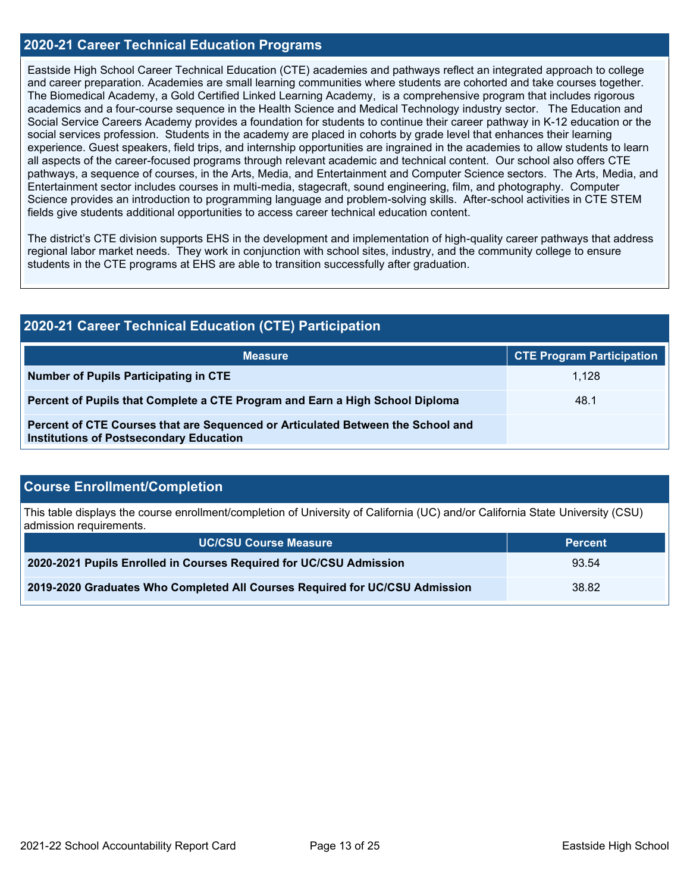## **2020-21 Career Technical Education Programs**

Eastside High School Career Technical Education (CTE) academies and pathways reflect an integrated approach to college and career preparation. Academies are small learning communities where students are cohorted and take courses together. The Biomedical Academy, a Gold Certified Linked Learning Academy, is a comprehensive program that includes rigorous academics and a four-course sequence in the Health Science and Medical Technology industry sector. The Education and Social Service Careers Academy provides a foundation for students to continue their career pathway in K-12 education or the social services profession. Students in the academy are placed in cohorts by grade level that enhances their learning experience. Guest speakers, field trips, and internship opportunities are ingrained in the academies to allow students to learn all aspects of the career-focused programs through relevant academic and technical content. Our school also offers CTE pathways, a sequence of courses, in the Arts, Media, and Entertainment and Computer Science sectors. The Arts, Media, and Entertainment sector includes courses in multi-media, stagecraft, sound engineering, film, and photography. Computer Science provides an introduction to programming language and problem-solving skills. After-school activities in CTE STEM fields give students additional opportunities to access career technical education content.

The district's CTE division supports EHS in the development and implementation of high-quality career pathways that address regional labor market needs. They work in conjunction with school sites, industry, and the community college to ensure students in the CTE programs at EHS are able to transition successfully after graduation.

## **2020-21 Career Technical Education (CTE) Participation**

| <b>Measure</b>                                                                                                                    | <b>CTE Program Participation</b> |
|-----------------------------------------------------------------------------------------------------------------------------------|----------------------------------|
| Number of Pupils Participating in CTE                                                                                             | 1.128                            |
| Percent of Pupils that Complete a CTE Program and Earn a High School Diploma                                                      | 48.1                             |
| Percent of CTE Courses that are Sequenced or Articulated Between the School and<br><b>Institutions of Postsecondary Education</b> |                                  |

## **Course Enrollment/Completion**

This table displays the course enrollment/completion of University of California (UC) and/or California State University (CSU) admission requirements.

| <b>UC/CSU Course Measure</b>                                                | <b>Percent</b> |
|-----------------------------------------------------------------------------|----------------|
| 2020-2021 Pupils Enrolled in Courses Required for UC/CSU Admission          | 93.54          |
| 2019-2020 Graduates Who Completed All Courses Required for UC/CSU Admission | 38.82          |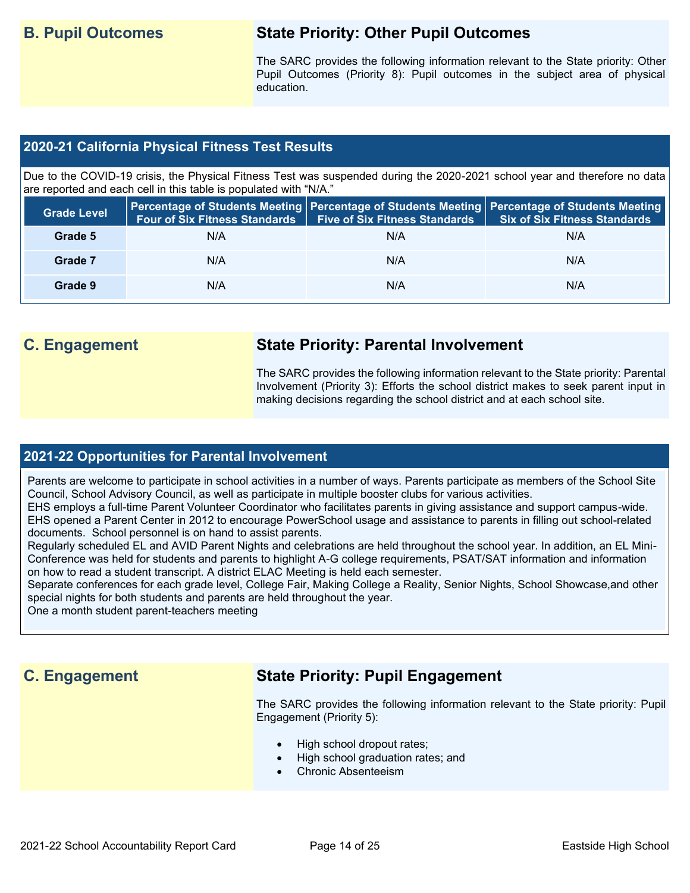## **B. Pupil Outcomes State Priority: Other Pupil Outcomes**

The SARC provides the following information relevant to the State priority: Other Pupil Outcomes (Priority 8): Pupil outcomes in the subject area of physical education.

## **2020-21 California Physical Fitness Test Results**

Due to the COVID-19 crisis, the Physical Fitness Test was suspended during the 2020-2021 school year and therefore no data are reported and each cell in this table is populated with "N/A."

| <b>Grade Level</b> | <b>Four of Six Fitness Standards</b> | <b>Five of Six Fitness Standards</b> | Percentage of Students Meeting   Percentage of Students Meeting   Percentage of Students Meeting<br><b>Six of Six Fitness Standards</b> |
|--------------------|--------------------------------------|--------------------------------------|-----------------------------------------------------------------------------------------------------------------------------------------|
| Grade 5            | N/A                                  | N/A                                  | N/A                                                                                                                                     |
| Grade 7            | N/A                                  | N/A                                  | N/A                                                                                                                                     |
| Grade 9            | N/A                                  | N/A                                  | N/A                                                                                                                                     |

## **C. Engagement State Priority: Parental Involvement**

The SARC provides the following information relevant to the State priority: Parental Involvement (Priority 3): Efforts the school district makes to seek parent input in making decisions regarding the school district and at each school site.

### **2021-22 Opportunities for Parental Involvement**

Parents are welcome to participate in school activities in a number of ways. Parents participate as members of the School Site Council, School Advisory Council, as well as participate in multiple booster clubs for various activities.

EHS employs a full-time Parent Volunteer Coordinator who facilitates parents in giving assistance and support campus-wide. EHS opened a Parent Center in 2012 to encourage PowerSchool usage and assistance to parents in filling out school-related documents. School personnel is on hand to assist parents.

Regularly scheduled EL and AVID Parent Nights and celebrations are held throughout the school year. In addition, an EL Mini-Conference was held for students and parents to highlight A-G college requirements, PSAT/SAT information and information on how to read a student transcript. A district ELAC Meeting is held each semester.

Separate conferences for each grade level, College Fair, Making College a Reality, Senior Nights, School Showcase,and other special nights for both students and parents are held throughout the year.

One a month student parent-teachers meeting

## **C. Engagement State Priority: Pupil Engagement**

The SARC provides the following information relevant to the State priority: Pupil Engagement (Priority 5):

- High school dropout rates;
- High school graduation rates; and
- Chronic Absenteeism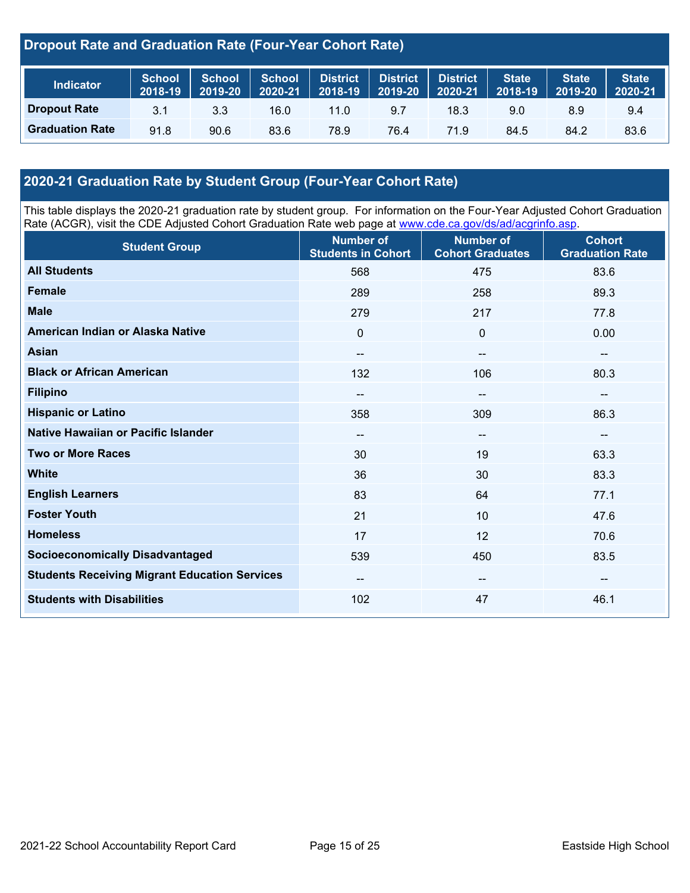## **Dropout Rate and Graduation Rate (Four-Year Cohort Rate)**

| <b>Indicator</b>       | School<br>2018-19 | <b>School</b><br>2019-20 | <b>School</b><br>2020-21 | District<br>$2018 - 19$ | <b>A</b> District V<br>2019-20 | <b>District</b><br>2020-21 | <b>State</b><br>2018-19 | <b>State</b><br>2019-20 | <b>State</b><br>$12020-21$ |
|------------------------|-------------------|--------------------------|--------------------------|-------------------------|--------------------------------|----------------------------|-------------------------|-------------------------|----------------------------|
| <b>Dropout Rate</b>    | 3.1               | 3.3                      | 16.0                     | 11.0                    | 9.7                            | 18.3                       | 9.0                     | 8.9                     | 9.4                        |
| <b>Graduation Rate</b> | 91.8              | 90.6                     | 83.6                     | 78.9                    | 76.4                           | 71.9                       | 84.5                    | 84.2                    | 83.6                       |

## **2020-21 Graduation Rate by Student Group (Four-Year Cohort Rate)**

This table displays the 2020-21 graduation rate by student group. For information on the Four-Year Adjusted Cohort Graduation Rate (ACGR), visit the CDE Adjusted Cohort Graduation Rate web page at [www.cde.ca.gov/ds/ad/acgrinfo.asp.](http://www.cde.ca.gov/ds/ad/acgrinfo.asp)

| <b>Student Group</b>                                 | <b>Number of</b><br><b>Students in Cohort</b> | <b>Number of</b><br><b>Cohort Graduates</b> | <b>Cohort</b><br><b>Graduation Rate</b> |
|------------------------------------------------------|-----------------------------------------------|---------------------------------------------|-----------------------------------------|
| <b>All Students</b>                                  | 568                                           | 475                                         | 83.6                                    |
| <b>Female</b>                                        | 289                                           | 258                                         | 89.3                                    |
| <b>Male</b>                                          | 279                                           | 217                                         | 77.8                                    |
| American Indian or Alaska Native                     | 0                                             | $\mathbf 0$                                 | 0.00                                    |
| <b>Asian</b>                                         | $\qquad \qquad -$                             | $\overline{\phantom{a}}$                    | --                                      |
| <b>Black or African American</b>                     | 132                                           | 106                                         | 80.3                                    |
| <b>Filipino</b>                                      | $\overline{\phantom{m}}$                      | $\overline{\phantom{a}}$                    | $\overline{\phantom{a}}$                |
| <b>Hispanic or Latino</b>                            | 358                                           | 309                                         | 86.3                                    |
| Native Hawaiian or Pacific Islander                  | --                                            | --                                          | --                                      |
| <b>Two or More Races</b>                             | 30                                            | 19                                          | 63.3                                    |
| <b>White</b>                                         | 36                                            | 30                                          | 83.3                                    |
| <b>English Learners</b>                              | 83                                            | 64                                          | 77.1                                    |
| <b>Foster Youth</b>                                  | 21                                            | 10                                          | 47.6                                    |
| <b>Homeless</b>                                      | 17                                            | 12                                          | 70.6                                    |
| <b>Socioeconomically Disadvantaged</b>               | 539                                           | 450                                         | 83.5                                    |
| <b>Students Receiving Migrant Education Services</b> | $\qquad \qquad -$                             | $\overline{\phantom{a}}$                    | --                                      |
| <b>Students with Disabilities</b>                    | 102                                           | 47                                          | 46.1                                    |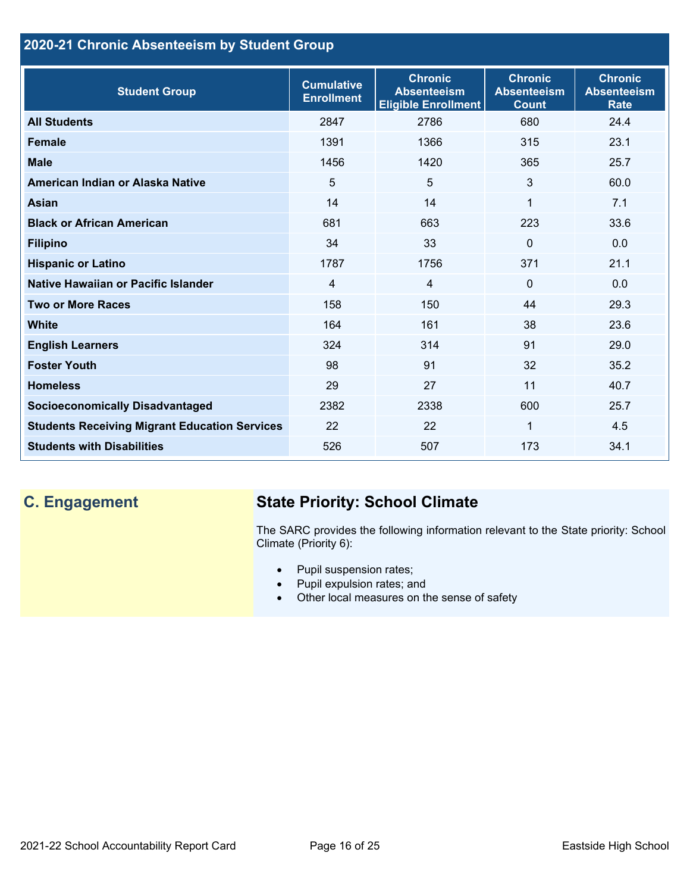## **2020-21 Chronic Absenteeism by Student Group**

| <b>Student Group</b>                                 | <b>Cumulative</b><br><b>Enrollment</b> | <b>Chronic</b><br><b>Absenteeism</b><br><b>Eligible Enrollment</b> | <b>Chronic</b><br><b>Absenteeism</b><br><b>Count</b> | <b>Chronic</b><br><b>Absenteeism</b><br><b>Rate</b> |
|------------------------------------------------------|----------------------------------------|--------------------------------------------------------------------|------------------------------------------------------|-----------------------------------------------------|
| <b>All Students</b>                                  | 2847                                   | 2786                                                               | 680                                                  | 24.4                                                |
| <b>Female</b>                                        | 1391                                   | 1366                                                               | 315                                                  | 23.1                                                |
| <b>Male</b>                                          | 1456                                   | 1420                                                               | 365                                                  | 25.7                                                |
| American Indian or Alaska Native                     | 5                                      | 5                                                                  | 3                                                    | 60.0                                                |
| Asian                                                | 14                                     | 14                                                                 | 1                                                    | 7.1                                                 |
| <b>Black or African American</b>                     | 681                                    | 663                                                                | 223                                                  | 33.6                                                |
| <b>Filipino</b>                                      | 34                                     | 33                                                                 | $\Omega$                                             | 0.0                                                 |
| <b>Hispanic or Latino</b>                            | 1787                                   | 1756                                                               | 371                                                  | 21.1                                                |
| Native Hawaiian or Pacific Islander                  | 4                                      | $\overline{4}$                                                     | $\Omega$                                             | 0.0                                                 |
| <b>Two or More Races</b>                             | 158                                    | 150                                                                | 44                                                   | 29.3                                                |
| <b>White</b>                                         | 164                                    | 161                                                                | 38                                                   | 23.6                                                |
| <b>English Learners</b>                              | 324                                    | 314                                                                | 91                                                   | 29.0                                                |
| <b>Foster Youth</b>                                  | 98                                     | 91                                                                 | 32                                                   | 35.2                                                |
| <b>Homeless</b>                                      | 29                                     | 27                                                                 | 11                                                   | 40.7                                                |
| <b>Socioeconomically Disadvantaged</b>               | 2382                                   | 2338                                                               | 600                                                  | 25.7                                                |
| <b>Students Receiving Migrant Education Services</b> | 22                                     | 22                                                                 | 1                                                    | 4.5                                                 |
| <b>Students with Disabilities</b>                    | 526                                    | 507                                                                | 173                                                  | 34.1                                                |

# **C. Engagement State Priority: School Climate**

The SARC provides the following information relevant to the State priority: School Climate (Priority 6):

- Pupil suspension rates;
- Pupil expulsion rates; and
- Other local measures on the sense of safety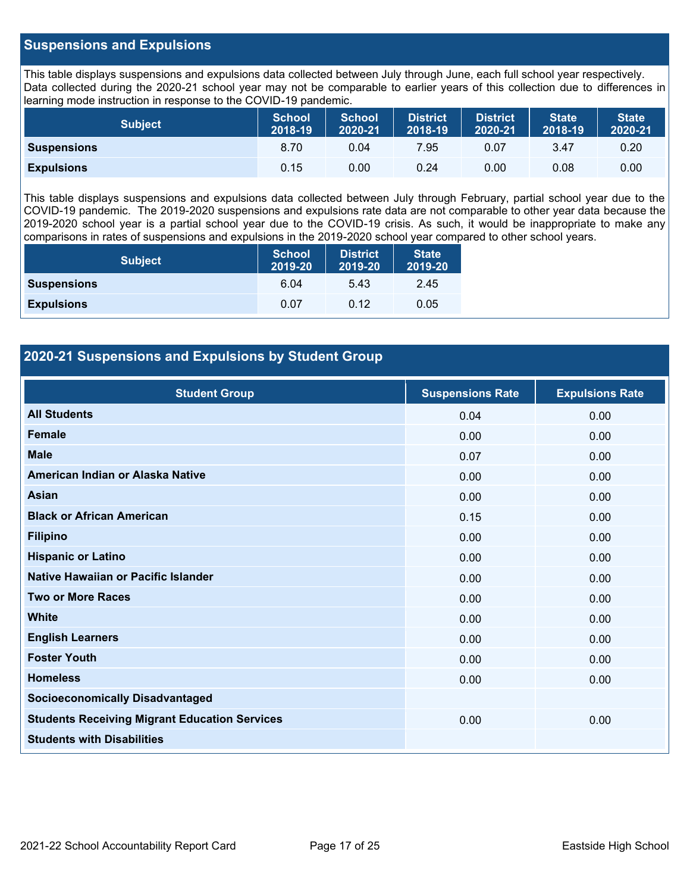## **Suspensions and Expulsions**

This table displays suspensions and expulsions data collected between July through June, each full school year respectively. Data collected during the 2020-21 school year may not be comparable to earlier years of this collection due to differences in learning mode instruction in response to the COVID-19 pandemic.

| <b>Subject</b>     | <b>School</b><br>2018-19 | <b>School</b><br>2020-21 | <b>District</b><br>2018-19 | <b>District</b><br>2020-21 | <b>State</b><br>2018-19 | <b>State</b><br>2020-21 |
|--------------------|--------------------------|--------------------------|----------------------------|----------------------------|-------------------------|-------------------------|
| <b>Suspensions</b> | 8.70                     | 0.04                     | 7.95                       | 0.07                       | 3.47                    | 0.20                    |
| <b>Expulsions</b>  | 0.15                     | 0.00                     | 0.24                       | 0.00                       | 0.08                    | 0.00                    |

This table displays suspensions and expulsions data collected between July through February, partial school year due to the COVID-19 pandemic. The 2019-2020 suspensions and expulsions rate data are not comparable to other year data because the 2019-2020 school year is a partial school year due to the COVID-19 crisis. As such, it would be inappropriate to make any comparisons in rates of suspensions and expulsions in the 2019-2020 school year compared to other school years.

| <b>Subject</b>     | <b>School</b><br>2019-20 | <b>District</b><br>2019-20 | <b>State</b><br>2019-20 |
|--------------------|--------------------------|----------------------------|-------------------------|
| <b>Suspensions</b> | 6.04                     | 5.43                       | 2.45                    |
| <b>Expulsions</b>  | 0.07                     | 0.12                       | 0.05                    |

## **2020-21 Suspensions and Expulsions by Student Group**

| <b>Student Group</b>                                 | <b>Suspensions Rate</b> | <b>Expulsions Rate</b> |
|------------------------------------------------------|-------------------------|------------------------|
| <b>All Students</b>                                  | 0.04                    | 0.00                   |
| <b>Female</b>                                        | 0.00                    | 0.00                   |
| <b>Male</b>                                          | 0.07                    | 0.00                   |
| American Indian or Alaska Native                     | 0.00                    | 0.00                   |
| Asian                                                | 0.00                    | 0.00                   |
| <b>Black or African American</b>                     | 0.15                    | 0.00                   |
| <b>Filipino</b>                                      | 0.00                    | 0.00                   |
| <b>Hispanic or Latino</b>                            | 0.00                    | 0.00                   |
| Native Hawaiian or Pacific Islander                  | 0.00                    | 0.00                   |
| <b>Two or More Races</b>                             | 0.00                    | 0.00                   |
| <b>White</b>                                         | 0.00                    | 0.00                   |
| <b>English Learners</b>                              | 0.00                    | 0.00                   |
| <b>Foster Youth</b>                                  | 0.00                    | 0.00                   |
| <b>Homeless</b>                                      | 0.00                    | 0.00                   |
| <b>Socioeconomically Disadvantaged</b>               |                         |                        |
| <b>Students Receiving Migrant Education Services</b> | 0.00                    | 0.00                   |
| <b>Students with Disabilities</b>                    |                         |                        |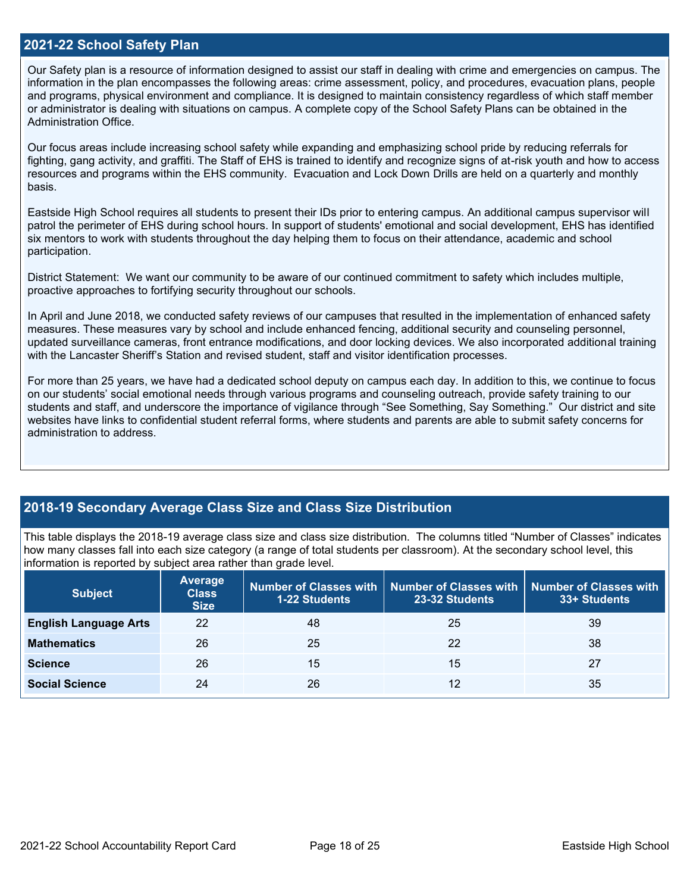### **2021-22 School Safety Plan**

Our Safety plan is a resource of information designed to assist our staff in dealing with crime and emergencies on campus. The information in the plan encompasses the following areas: crime assessment, policy, and procedures, evacuation plans, people and programs, physical environment and compliance. It is designed to maintain consistency regardless of which staff member or administrator is dealing with situations on campus. A complete copy of the School Safety Plans can be obtained in the Administration Office.

Our focus areas include increasing school safety while expanding and emphasizing school pride by reducing referrals for fighting, gang activity, and graffiti. The Staff of EHS is trained to identify and recognize signs of at-risk youth and how to access resources and programs within the EHS community. Evacuation and Lock Down Drills are held on a quarterly and monthly basis.

Eastside High School requires all students to present their IDs prior to entering campus. An additional campus supervisor will patrol the perimeter of EHS during school hours. In support of students' emotional and social development, EHS has identified six mentors to work with students throughout the day helping them to focus on their attendance, academic and school participation.

District Statement: We want our community to be aware of our continued commitment to safety which includes multiple, proactive approaches to fortifying security throughout our schools.

In April and June 2018, we conducted safety reviews of our campuses that resulted in the implementation of enhanced safety measures. These measures vary by school and include enhanced fencing, additional security and counseling personnel, updated surveillance cameras, front entrance modifications, and door locking devices. We also incorporated additional training with the Lancaster Sheriff's Station and revised student, staff and visitor identification processes.

For more than 25 years, we have had a dedicated school deputy on campus each day. In addition to this, we continue to focus on our students' social emotional needs through various programs and counseling outreach, provide safety training to our students and staff, and underscore the importance of vigilance through "See Something, Say Something." Our district and site websites have links to confidential student referral forms, where students and parents are able to submit safety concerns for administration to address.

## **2018-19 Secondary Average Class Size and Class Size Distribution**

This table displays the 2018-19 average class size and class size distribution. The columns titled "Number of Classes" indicates how many classes fall into each size category (a range of total students per classroom). At the secondary school level, this information is reported by subject area rather than grade level.

| <b>Subject</b>               | Average<br><b>Class</b><br><b>Size</b> | <b>1-22 Students</b> | Number of Classes with   Number of Classes with  <br>23-32 Students | Number of Classes with<br>33+ Students |
|------------------------------|----------------------------------------|----------------------|---------------------------------------------------------------------|----------------------------------------|
| <b>English Language Arts</b> | 22                                     | 48                   | 25                                                                  | 39                                     |
| <b>Mathematics</b>           | 26                                     | 25                   | 22                                                                  | 38                                     |
| <b>Science</b>               | 26                                     | 15                   | 15                                                                  | 27                                     |
| <b>Social Science</b>        | 24                                     | 26                   | 12                                                                  | 35                                     |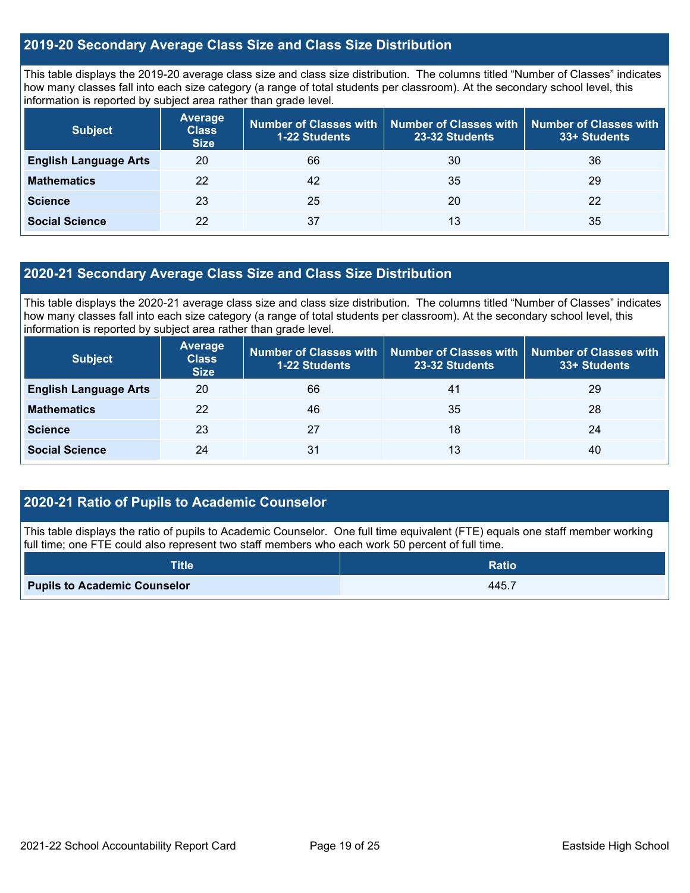## **2019-20 Secondary Average Class Size and Class Size Distribution**

This table displays the 2019-20 average class size and class size distribution. The columns titled "Number of Classes" indicates how many classes fall into each size category (a range of total students per classroom). At the secondary school level, this information is reported by subject area rather than grade level.

| <b>Subject</b>               | <b>Average</b><br><b>Class</b><br><b>Size</b> | <b>1-22 Students</b> | Number of Classes with   Number of Classes with<br>23-32 Students | <b>Number of Classes with</b><br>33+ Students |
|------------------------------|-----------------------------------------------|----------------------|-------------------------------------------------------------------|-----------------------------------------------|
| <b>English Language Arts</b> | 20                                            | 66                   | 30                                                                | 36                                            |
| <b>Mathematics</b>           | 22                                            | 42                   | 35                                                                | 29                                            |
| <b>Science</b>               | 23                                            | 25                   | 20                                                                | 22                                            |
| <b>Social Science</b>        | 22                                            | 37                   | 13                                                                | 35                                            |

## **2020-21 Secondary Average Class Size and Class Size Distribution**

This table displays the 2020-21 average class size and class size distribution. The columns titled "Number of Classes" indicates how many classes fall into each size category (a range of total students per classroom). At the secondary school level, this information is reported by subject area rather than grade level.

| <b>Subject</b>               | <b>Average</b><br><b>Class</b><br><b>Size</b> | Number of Classes with  <br><b>1-22 Students</b> | 23-32 Students | Number of Classes with   Number of Classes with<br>33+ Students |
|------------------------------|-----------------------------------------------|--------------------------------------------------|----------------|-----------------------------------------------------------------|
| <b>English Language Arts</b> | 20                                            | 66                                               | 41             | 29                                                              |
| <b>Mathematics</b>           | 22                                            | 46                                               | 35             | 28                                                              |
| <b>Science</b>               | 23                                            | 27                                               | 18             | 24                                                              |
| <b>Social Science</b>        | 24                                            | 31                                               | 13             | 40                                                              |

## **2020-21 Ratio of Pupils to Academic Counselor**

This table displays the ratio of pupils to Academic Counselor. One full time equivalent (FTE) equals one staff member working full time; one FTE could also represent two staff members who each work 50 percent of full time.

| <b>Title</b>                        | Ratio |
|-------------------------------------|-------|
| <b>Pupils to Academic Counselor</b> | 445.7 |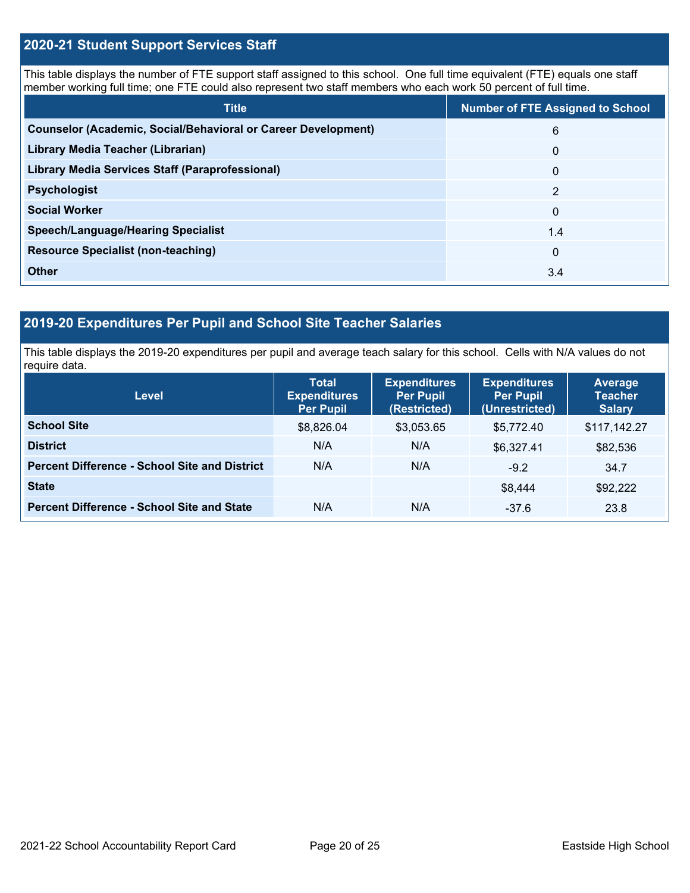## **2020-21 Student Support Services Staff**

This table displays the number of FTE support staff assigned to this school. One full time equivalent (FTE) equals one staff member working full time; one FTE could also represent two staff members who each work 50 percent of full time.

| <b>Title</b>                                                         | <b>Number of FTE Assigned to School</b> |
|----------------------------------------------------------------------|-----------------------------------------|
| <b>Counselor (Academic, Social/Behavioral or Career Development)</b> | 6                                       |
| Library Media Teacher (Librarian)                                    | $\mathbf{0}$                            |
| <b>Library Media Services Staff (Paraprofessional)</b>               | $\mathbf{0}$                            |
| <b>Psychologist</b>                                                  | 2                                       |
| <b>Social Worker</b>                                                 | $\Omega$                                |
| <b>Speech/Language/Hearing Specialist</b>                            | 1.4                                     |
| <b>Resource Specialist (non-teaching)</b>                            | $\mathbf{0}$                            |
| <b>Other</b>                                                         | 3.4                                     |

## **2019-20 Expenditures Per Pupil and School Site Teacher Salaries**

This table displays the 2019-20 expenditures per pupil and average teach salary for this school. Cells with N/A values do not require data.

| <b>Level</b>                                         | <b>Total</b><br><b>Expenditures</b><br><b>Per Pupil</b> | <b>Expenditures</b><br><b>Per Pupil</b><br>(Restricted) | <b>Expenditures</b><br><b>Per Pupil</b><br>(Unrestricted) | <b>Average</b><br><b>Teacher</b><br><b>Salary</b> |
|------------------------------------------------------|---------------------------------------------------------|---------------------------------------------------------|-----------------------------------------------------------|---------------------------------------------------|
| <b>School Site</b>                                   | \$8,826.04                                              | \$3,053.65                                              | \$5.772.40                                                | \$117,142.27                                      |
| <b>District</b>                                      | N/A                                                     | N/A                                                     | \$6,327.41                                                | \$82,536                                          |
| <b>Percent Difference - School Site and District</b> | N/A                                                     | N/A                                                     | $-9.2$                                                    | 34.7                                              |
| <b>State</b>                                         |                                                         |                                                         | \$8.444                                                   | \$92,222                                          |
| <b>Percent Difference - School Site and State</b>    | N/A                                                     | N/A                                                     | $-37.6$                                                   | 23.8                                              |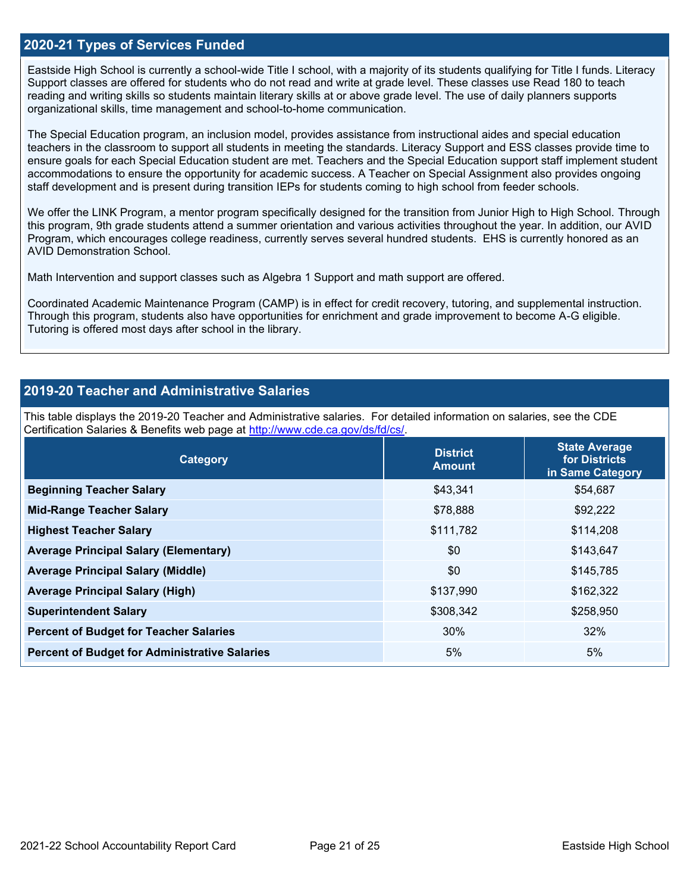### **2020-21 Types of Services Funded**

Eastside High School is currently a school-wide Title I school, with a majority of its students qualifying for Title I funds. Literacy Support classes are offered for students who do not read and write at grade level. These classes use Read 180 to teach reading and writing skills so students maintain literary skills at or above grade level. The use of daily planners supports organizational skills, time management and school-to-home communication.

The Special Education program, an inclusion model, provides assistance from instructional aides and special education teachers in the classroom to support all students in meeting the standards. Literacy Support and ESS classes provide time to ensure goals for each Special Education student are met. Teachers and the Special Education support staff implement student accommodations to ensure the opportunity for academic success. A Teacher on Special Assignment also provides ongoing staff development and is present during transition IEPs for students coming to high school from feeder schools.

We offer the LINK Program, a mentor program specifically designed for the transition from Junior High to High School. Through this program, 9th grade students attend a summer orientation and various activities throughout the year. In addition, our AVID Program, which encourages college readiness, currently serves several hundred students. EHS is currently honored as an AVID Demonstration School.

Math Intervention and support classes such as Algebra 1 Support and math support are offered.

Coordinated Academic Maintenance Program (CAMP) is in effect for credit recovery, tutoring, and supplemental instruction. Through this program, students also have opportunities for enrichment and grade improvement to become A-G eligible. Tutoring is offered most days after school in the library.

## **2019-20 Teacher and Administrative Salaries**

This table displays the 2019-20 Teacher and Administrative salaries. For detailed information on salaries, see the CDE Certification Salaries & Benefits web page at [http://www.cde.ca.gov/ds/fd/cs/.](http://www.cde.ca.gov/ds/fd/cs/)

| Category                                             | <b>District</b><br><b>Amount</b> | <b>State Average</b><br>for Districts<br>in Same Category |
|------------------------------------------------------|----------------------------------|-----------------------------------------------------------|
| <b>Beginning Teacher Salary</b>                      | \$43.341                         | \$54,687                                                  |
| <b>Mid-Range Teacher Salary</b>                      | \$78,888                         | \$92,222                                                  |
| <b>Highest Teacher Salary</b>                        | \$111,782                        | \$114,208                                                 |
| <b>Average Principal Salary (Elementary)</b>         | \$0                              | \$143,647                                                 |
| <b>Average Principal Salary (Middle)</b>             | \$0                              | \$145,785                                                 |
| <b>Average Principal Salary (High)</b>               | \$137,990                        | \$162,322                                                 |
| <b>Superintendent Salary</b>                         | \$308,342                        | \$258,950                                                 |
| <b>Percent of Budget for Teacher Salaries</b>        | 30%                              | 32%                                                       |
| <b>Percent of Budget for Administrative Salaries</b> | 5%                               | 5%                                                        |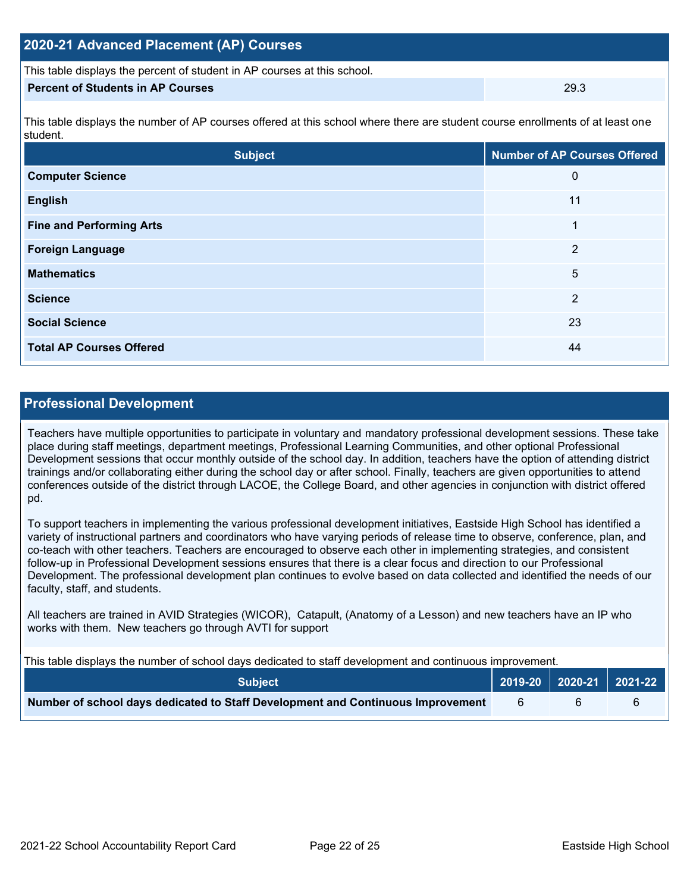| 2020-21 Advanced Placement (AP) Courses                                  |      |
|--------------------------------------------------------------------------|------|
| This table displays the percent of student in AP courses at this school. |      |
| <b>Percent of Students in AP Courses</b>                                 | 29.3 |

This table displays the number of AP courses offered at this school where there are student course enrollments of at least one student.

| <b>Subject</b>                  | <b>Number of AP Courses Offered</b> |  |
|---------------------------------|-------------------------------------|--|
| <b>Computer Science</b>         | 0                                   |  |
| <b>English</b>                  | 11                                  |  |
| <b>Fine and Performing Arts</b> | 1                                   |  |
| <b>Foreign Language</b>         | $\overline{2}$                      |  |
| <b>Mathematics</b>              | 5                                   |  |
| <b>Science</b>                  | 2                                   |  |
| <b>Social Science</b>           | 23                                  |  |
| <b>Total AP Courses Offered</b> | 44                                  |  |

## **Professional Development**

Teachers have multiple opportunities to participate in voluntary and mandatory professional development sessions. These take place during staff meetings, department meetings, Professional Learning Communities, and other optional Professional Development sessions that occur monthly outside of the school day. In addition, teachers have the option of attending district trainings and/or collaborating either during the school day or after school. Finally, teachers are given opportunities to attend conferences outside of the district through LACOE, the College Board, and other agencies in conjunction with district offered pd.

To support teachers in implementing the various professional development initiatives, Eastside High School has identified a variety of instructional partners and coordinators who have varying periods of release time to observe, conference, plan, and co-teach with other teachers. Teachers are encouraged to observe each other in implementing strategies, and consistent follow-up in Professional Development sessions ensures that there is a clear focus and direction to our Professional Development. The professional development plan continues to evolve based on data collected and identified the needs of our faculty, staff, and students.

All teachers are trained in AVID Strategies (WICOR), Catapult, (Anatomy of a Lesson) and new teachers have an IP who works with them. New teachers go through AVTI for support

This table displays the number of school days dedicated to staff development and continuous improvement.

| <b>Subject</b>                                                                  |  | 2019-20   2020-21   2021-22 |  |
|---------------------------------------------------------------------------------|--|-----------------------------|--|
| Number of school days dedicated to Staff Development and Continuous Improvement |  |                             |  |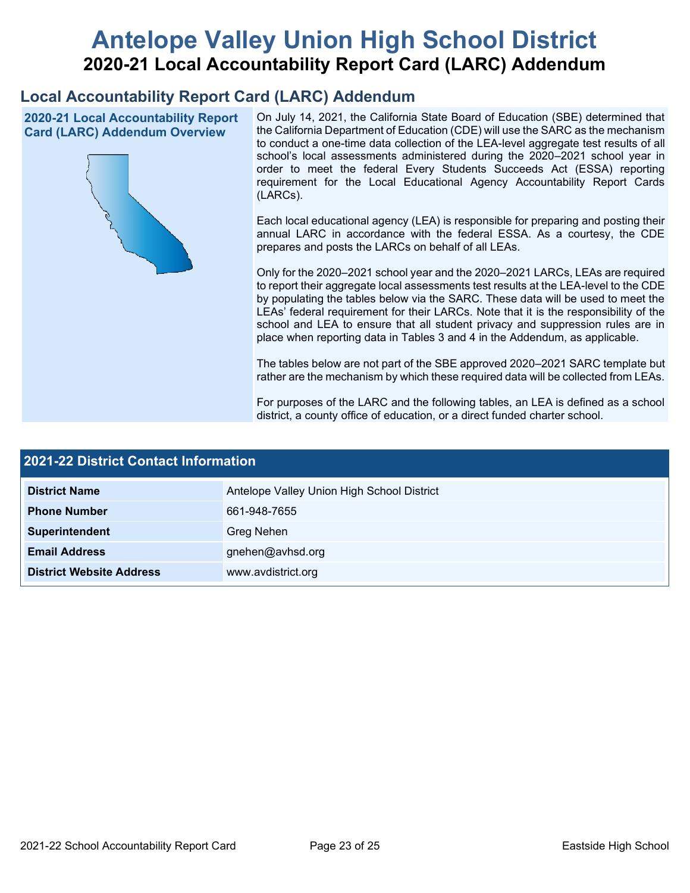# **Antelope Valley Union High School District 2020-21 Local Accountability Report Card (LARC) Addendum**

## **Local Accountability Report Card (LARC) Addendum**

**2020-21 Local Accountability Report Card (LARC) Addendum Overview**



On July 14, 2021, the California State Board of Education (SBE) determined that the California Department of Education (CDE) will use the SARC as the mechanism to conduct a one-time data collection of the LEA-level aggregate test results of all school's local assessments administered during the 2020–2021 school year in order to meet the federal Every Students Succeeds Act (ESSA) reporting requirement for the Local Educational Agency Accountability Report Cards (LARCs).

Each local educational agency (LEA) is responsible for preparing and posting their annual LARC in accordance with the federal ESSA. As a courtesy, the CDE prepares and posts the LARCs on behalf of all LEAs.

Only for the 2020–2021 school year and the 2020–2021 LARCs, LEAs are required to report their aggregate local assessments test results at the LEA-level to the CDE by populating the tables below via the SARC. These data will be used to meet the LEAs' federal requirement for their LARCs. Note that it is the responsibility of the school and LEA to ensure that all student privacy and suppression rules are in place when reporting data in Tables 3 and 4 in the Addendum, as applicable.

The tables below are not part of the SBE approved 2020–2021 SARC template but rather are the mechanism by which these required data will be collected from LEAs.

For purposes of the LARC and the following tables, an LEA is defined as a school district, a county office of education, or a direct funded charter school.

| <b>2021-22 District Contact Information</b> |                                            |  |  |
|---------------------------------------------|--------------------------------------------|--|--|
| <b>District Name</b>                        | Antelope Valley Union High School District |  |  |
| <b>Phone Number</b>                         | 661-948-7655                               |  |  |
| Superintendent                              | Greg Nehen                                 |  |  |
| <b>Email Address</b>                        | gnehen@avhsd.org                           |  |  |
| <b>District Website Address</b>             | www.avdistrict.org                         |  |  |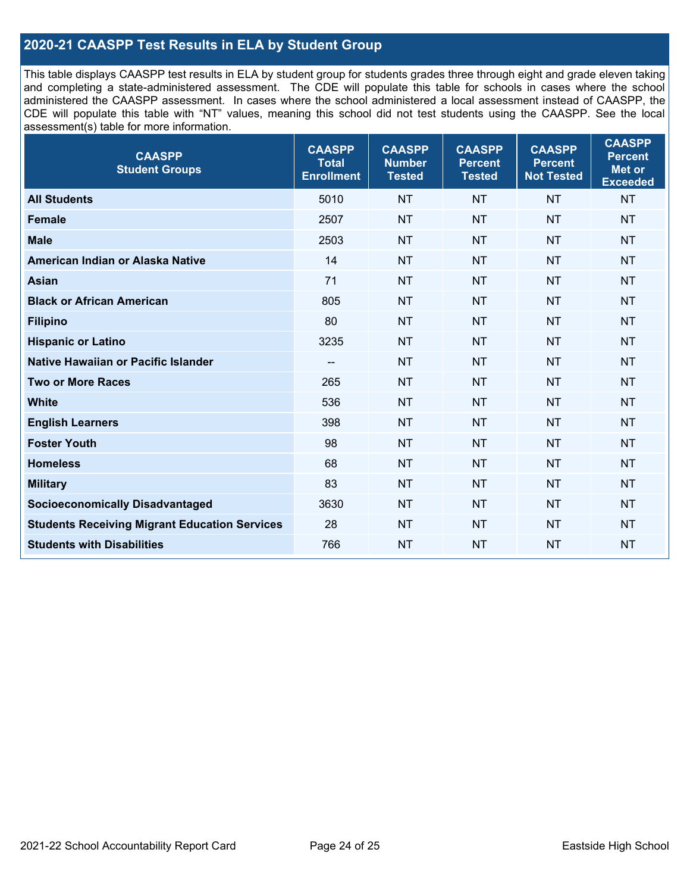## **2020-21 CAASPP Test Results in ELA by Student Group**

This table displays CAASPP test results in ELA by student group for students grades three through eight and grade eleven taking and completing a state-administered assessment. The CDE will populate this table for schools in cases where the school administered the CAASPP assessment. In cases where the school administered a local assessment instead of CAASPP, the CDE will populate this table with "NT" values, meaning this school did not test students using the CAASPP. See the local assessment(s) table for more information.

| <b>CAASPP</b><br><b>Student Groups</b>               | <b>CAASPP</b><br><b>Total</b><br><b>Enrollment</b> | <b>CAASPP</b><br><b>Number</b><br><b>Tested</b> | <b>CAASPP</b><br><b>Percent</b><br><b>Tested</b> | <b>CAASPP</b><br><b>Percent</b><br><b>Not Tested</b> | <b>CAASPP</b><br><b>Percent</b><br>Met or<br><b>Exceeded</b> |
|------------------------------------------------------|----------------------------------------------------|-------------------------------------------------|--------------------------------------------------|------------------------------------------------------|--------------------------------------------------------------|
| <b>All Students</b>                                  | 5010                                               | <b>NT</b>                                       | <b>NT</b>                                        | <b>NT</b>                                            | <b>NT</b>                                                    |
| <b>Female</b>                                        | 2507                                               | <b>NT</b>                                       | <b>NT</b>                                        | <b>NT</b>                                            | <b>NT</b>                                                    |
| <b>Male</b>                                          | 2503                                               | <b>NT</b>                                       | <b>NT</b>                                        | <b>NT</b>                                            | <b>NT</b>                                                    |
| American Indian or Alaska Native                     | 14                                                 | <b>NT</b>                                       | <b>NT</b>                                        | <b>NT</b>                                            | <b>NT</b>                                                    |
| <b>Asian</b>                                         | 71                                                 | <b>NT</b>                                       | <b>NT</b>                                        | <b>NT</b>                                            | <b>NT</b>                                                    |
| <b>Black or African American</b>                     | 805                                                | <b>NT</b>                                       | <b>NT</b>                                        | <b>NT</b>                                            | NT                                                           |
| <b>Filipino</b>                                      | 80                                                 | <b>NT</b>                                       | <b>NT</b>                                        | <b>NT</b>                                            | <b>NT</b>                                                    |
| <b>Hispanic or Latino</b>                            | 3235                                               | <b>NT</b>                                       | <b>NT</b>                                        | <b>NT</b>                                            | <b>NT</b>                                                    |
| <b>Native Hawaiian or Pacific Islander</b>           | --                                                 | <b>NT</b>                                       | <b>NT</b>                                        | <b>NT</b>                                            | <b>NT</b>                                                    |
| <b>Two or More Races</b>                             | 265                                                | <b>NT</b>                                       | <b>NT</b>                                        | <b>NT</b>                                            | <b>NT</b>                                                    |
| <b>White</b>                                         | 536                                                | <b>NT</b>                                       | <b>NT</b>                                        | <b>NT</b>                                            | <b>NT</b>                                                    |
| <b>English Learners</b>                              | 398                                                | <b>NT</b>                                       | <b>NT</b>                                        | <b>NT</b>                                            | <b>NT</b>                                                    |
| <b>Foster Youth</b>                                  | 98                                                 | <b>NT</b>                                       | <b>NT</b>                                        | <b>NT</b>                                            | <b>NT</b>                                                    |
| <b>Homeless</b>                                      | 68                                                 | <b>NT</b>                                       | <b>NT</b>                                        | <b>NT</b>                                            | <b>NT</b>                                                    |
| <b>Military</b>                                      | 83                                                 | <b>NT</b>                                       | <b>NT</b>                                        | <b>NT</b>                                            | <b>NT</b>                                                    |
| <b>Socioeconomically Disadvantaged</b>               | 3630                                               | <b>NT</b>                                       | <b>NT</b>                                        | <b>NT</b>                                            | <b>NT</b>                                                    |
| <b>Students Receiving Migrant Education Services</b> | 28                                                 | <b>NT</b>                                       | <b>NT</b>                                        | <b>NT</b>                                            | NT                                                           |
| <b>Students with Disabilities</b>                    | 766                                                | <b>NT</b>                                       | <b>NT</b>                                        | <b>NT</b>                                            | NT                                                           |